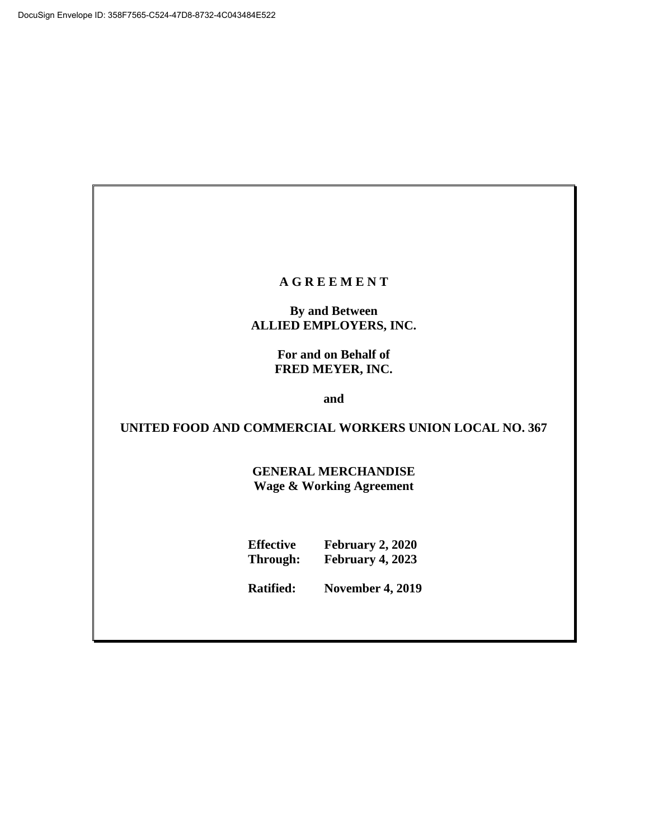#### **A G R E E M E N T**

# **By and Between ALLIED EMPLOYERS, INC.**

**For and on Behalf of FRED MEYER, INC.**

**and**

**UNITED FOOD AND COMMERCIAL WORKERS UNION LOCAL NO. 367**

**GENERAL MERCHANDISE Wage & Working Agreement**

| <b>Effective</b> | <b>February 2, 2020</b> |
|------------------|-------------------------|
| Through:         | February 4, 2023        |

**Ratified: November 4, 2019**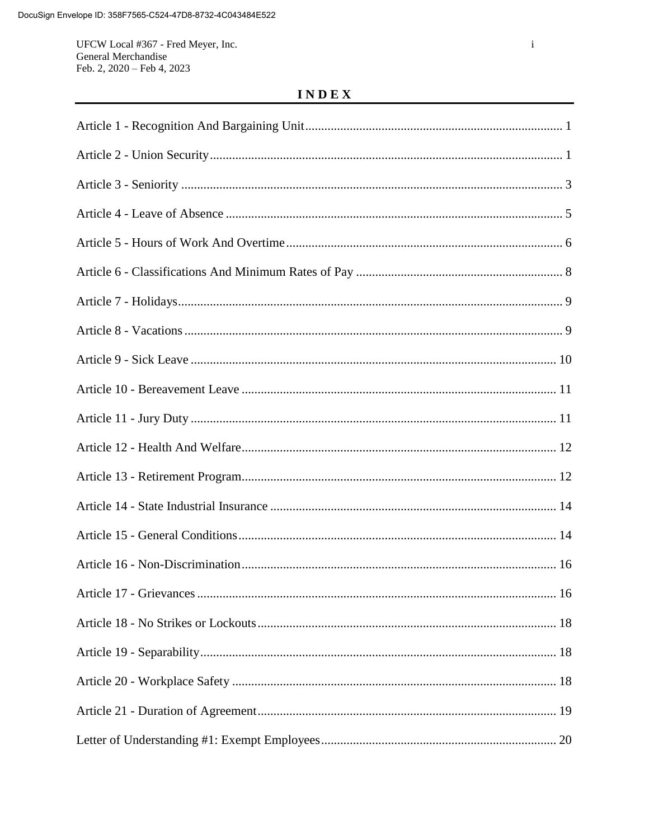UFCW Local #367 - Fred Meyer, Inc. General Merchandise Feb. 2, 2020 - Feb 4, 2023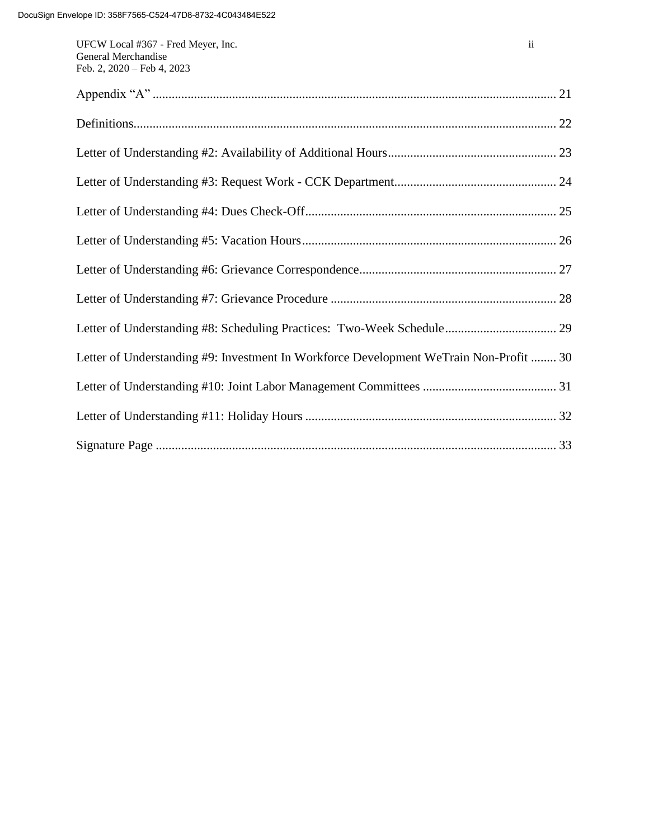| Letter of Understanding #9: Investment In Workforce Development WeTrain Non-Profit  30 |
|----------------------------------------------------------------------------------------|
|                                                                                        |
|                                                                                        |
|                                                                                        |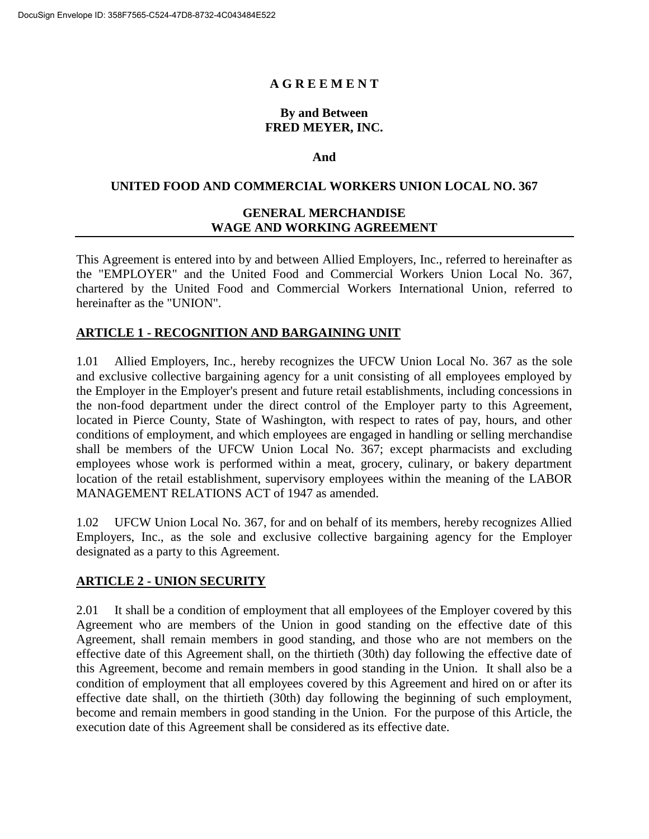# **A G R E E M E N T**

## **By and Between FRED MEYER, INC.**

#### **And**

#### **UNITED FOOD AND COMMERCIAL WORKERS UNION LOCAL NO. 367**

# **GENERAL MERCHANDISE WAGE AND WORKING AGREEMENT**

This Agreement is entered into by and between Allied Employers, Inc., referred to hereinafter as the "EMPLOYER" and the United Food and Commercial Workers Union Local No. 367, chartered by the United Food and Commercial Workers International Union, referred to hereinafter as the "UNION".

## **ARTICLE 1 - RECOGNITION AND BARGAINING UNIT**

1.01 Allied Employers, Inc., hereby recognizes the UFCW Union Local No. 367 as the sole and exclusive collective bargaining agency for a unit consisting of all employees employed by the Employer in the Employer's present and future retail establishments, including concessions in the non-food department under the direct control of the Employer party to this Agreement, located in Pierce County, State of Washington, with respect to rates of pay, hours, and other conditions of employment, and which employees are engaged in handling or selling merchandise shall be members of the UFCW Union Local No. 367; except pharmacists and excluding employees whose work is performed within a meat, grocery, culinary, or bakery department location of the retail establishment, supervisory employees within the meaning of the LABOR MANAGEMENT RELATIONS ACT of 1947 as amended.

1.02 UFCW Union Local No. 367, for and on behalf of its members, hereby recognizes Allied Employers, Inc., as the sole and exclusive collective bargaining agency for the Employer designated as a party to this Agreement.

## **ARTICLE 2 - UNION SECURITY**

2.01 It shall be a condition of employment that all employees of the Employer covered by this Agreement who are members of the Union in good standing on the effective date of this Agreement, shall remain members in good standing, and those who are not members on the effective date of this Agreement shall, on the thirtieth (30th) day following the effective date of this Agreement, become and remain members in good standing in the Union. It shall also be a condition of employment that all employees covered by this Agreement and hired on or after its effective date shall, on the thirtieth (30th) day following the beginning of such employment, become and remain members in good standing in the Union. For the purpose of this Article, the execution date of this Agreement shall be considered as its effective date.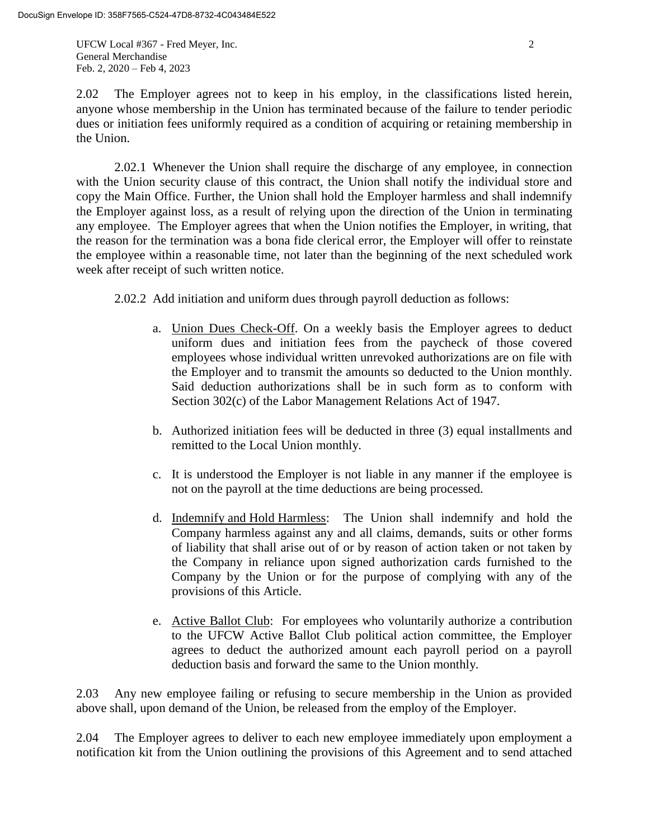UFCW Local #367 - Fred Meyer, Inc. 2 General Merchandise Feb. 2, 2020 – Feb 4, 2023

2.02 The Employer agrees not to keep in his employ, in the classifications listed herein, anyone whose membership in the Union has terminated because of the failure to tender periodic dues or initiation fees uniformly required as a condition of acquiring or retaining membership in the Union.

2.02.1 Whenever the Union shall require the discharge of any employee, in connection with the Union security clause of this contract, the Union shall notify the individual store and copy the Main Office. Further, the Union shall hold the Employer harmless and shall indemnify the Employer against loss, as a result of relying upon the direction of the Union in terminating any employee. The Employer agrees that when the Union notifies the Employer, in writing, that the reason for the termination was a bona fide clerical error, the Employer will offer to reinstate the employee within a reasonable time, not later than the beginning of the next scheduled work week after receipt of such written notice.

2.02.2 Add initiation and uniform dues through payroll deduction as follows:

- a. Union Dues Check-Off. On a weekly basis the Employer agrees to deduct uniform dues and initiation fees from the paycheck of those covered employees whose individual written unrevoked authorizations are on file with the Employer and to transmit the amounts so deducted to the Union monthly. Said deduction authorizations shall be in such form as to conform with Section 302(c) of the Labor Management Relations Act of 1947.
- b. Authorized initiation fees will be deducted in three (3) equal installments and remitted to the Local Union monthly.
- c. It is understood the Employer is not liable in any manner if the employee is not on the payroll at the time deductions are being processed.
- d. Indemnify and Hold Harmless: The Union shall indemnify and hold the Company harmless against any and all claims, demands, suits or other forms of liability that shall arise out of or by reason of action taken or not taken by the Company in reliance upon signed authorization cards furnished to the Company by the Union or for the purpose of complying with any of the provisions of this Article.
- e. Active Ballot Club: For employees who voluntarily authorize a contribution to the UFCW Active Ballot Club political action committee, the Employer agrees to deduct the authorized amount each payroll period on a payroll deduction basis and forward the same to the Union monthly.

2.03 Any new employee failing or refusing to secure membership in the Union as provided above shall, upon demand of the Union, be released from the employ of the Employer.

2.04 The Employer agrees to deliver to each new employee immediately upon employment a notification kit from the Union outlining the provisions of this Agreement and to send attached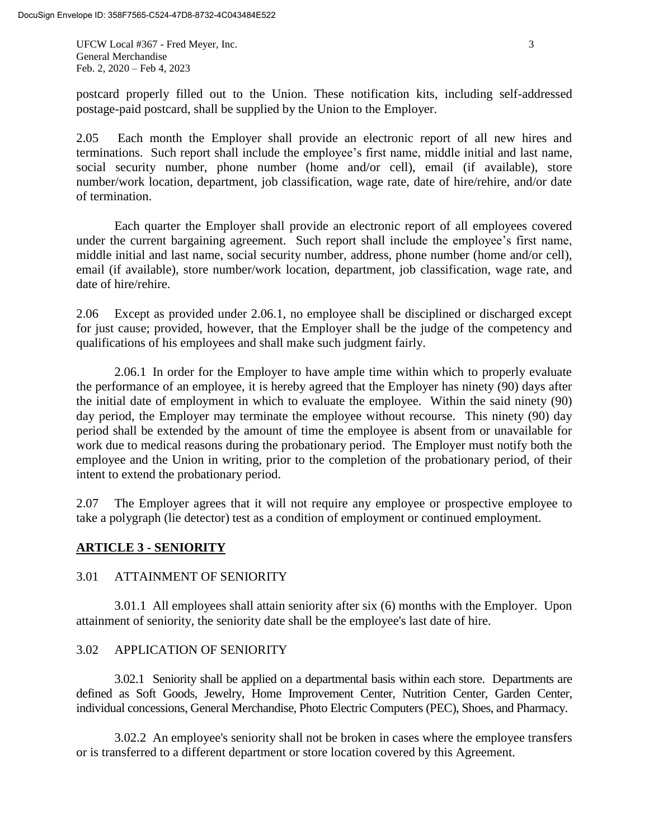UFCW Local #367 - Fred Meyer, Inc. 3 General Merchandise Feb. 2, 2020 – Feb 4, 2023

2.05 Each month the Employer shall provide an electronic report of all new hires and terminations. Such report shall include the employee's first name, middle initial and last name, social security number, phone number (home and/or cell), email (if available), store number/work location, department, job classification, wage rate, date of hire/rehire, and/or date of termination.

Each quarter the Employer shall provide an electronic report of all employees covered under the current bargaining agreement. Such report shall include the employee's first name, middle initial and last name, social security number, address, phone number (home and/or cell), email (if available), store number/work location, department, job classification, wage rate, and date of hire/rehire.

2.06 Except as provided under 2.06.1, no employee shall be disciplined or discharged except for just cause; provided, however, that the Employer shall be the judge of the competency and qualifications of his employees and shall make such judgment fairly.

2.06.1 In order for the Employer to have ample time within which to properly evaluate the performance of an employee, it is hereby agreed that the Employer has ninety (90) days after the initial date of employment in which to evaluate the employee. Within the said ninety (90) day period, the Employer may terminate the employee without recourse. This ninety (90) day period shall be extended by the amount of time the employee is absent from or unavailable for work due to medical reasons during the probationary period. The Employer must notify both the employee and the Union in writing, prior to the completion of the probationary period, of their intent to extend the probationary period.

2.07 The Employer agrees that it will not require any employee or prospective employee to take a polygraph (lie detector) test as a condition of employment or continued employment.

## **ARTICLE 3 - SENIORITY**

## 3.01 ATTAINMENT OF SENIORITY

3.01.1 All employees shall attain seniority after six (6) months with the Employer. Upon attainment of seniority, the seniority date shall be the employee's last date of hire.

## 3.02 APPLICATION OF SENIORITY

3.02.1 Seniority shall be applied on a departmental basis within each store. Departments are defined as Soft Goods, Jewelry, Home Improvement Center, Nutrition Center, Garden Center, individual concessions, General Merchandise, Photo Electric Computers (PEC), Shoes, and Pharmacy.

3.02.2 An employee's seniority shall not be broken in cases where the employee transfers or is transferred to a different department or store location covered by this Agreement.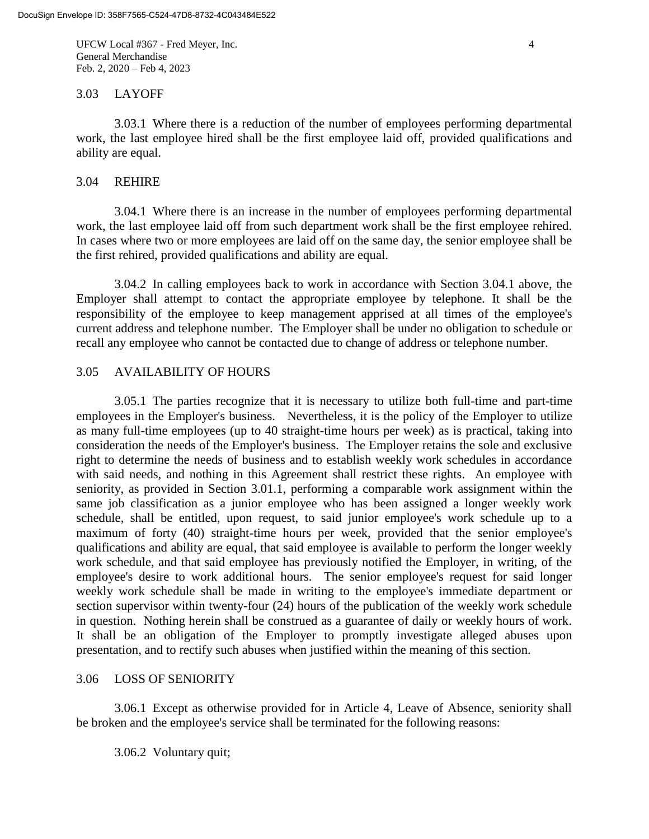UFCW Local #367 - Fred Meyer, Inc. 4 General Merchandise Feb. 2, 2020 – Feb 4, 2023

#### 3.03 LAYOFF

3.03.1 Where there is a reduction of the number of employees performing departmental work, the last employee hired shall be the first employee laid off, provided qualifications and ability are equal.

#### 3.04 REHIRE

3.04.1 Where there is an increase in the number of employees performing departmental work, the last employee laid off from such department work shall be the first employee rehired. In cases where two or more employees are laid off on the same day, the senior employee shall be the first rehired, provided qualifications and ability are equal.

3.04.2 In calling employees back to work in accordance with Section 3.04.1 above, the Employer shall attempt to contact the appropriate employee by telephone. It shall be the responsibility of the employee to keep management apprised at all times of the employee's current address and telephone number. The Employer shall be under no obligation to schedule or recall any employee who cannot be contacted due to change of address or telephone number.

#### 3.05 AVAILABILITY OF HOURS

3.05.1 The parties recognize that it is necessary to utilize both full-time and part-time employees in the Employer's business. Nevertheless, it is the policy of the Employer to utilize as many full-time employees (up to 40 straight-time hours per week) as is practical, taking into consideration the needs of the Employer's business. The Employer retains the sole and exclusive right to determine the needs of business and to establish weekly work schedules in accordance with said needs, and nothing in this Agreement shall restrict these rights. An employee with seniority, as provided in Section 3.01.1, performing a comparable work assignment within the same job classification as a junior employee who has been assigned a longer weekly work schedule, shall be entitled, upon request, to said junior employee's work schedule up to a maximum of forty (40) straight-time hours per week, provided that the senior employee's qualifications and ability are equal, that said employee is available to perform the longer weekly work schedule, and that said employee has previously notified the Employer, in writing, of the employee's desire to work additional hours. The senior employee's request for said longer weekly work schedule shall be made in writing to the employee's immediate department or section supervisor within twenty-four (24) hours of the publication of the weekly work schedule in question. Nothing herein shall be construed as a guarantee of daily or weekly hours of work. It shall be an obligation of the Employer to promptly investigate alleged abuses upon presentation, and to rectify such abuses when justified within the meaning of this section.

#### 3.06 LOSS OF SENIORITY

3.06.1 Except as otherwise provided for in Article 4, Leave of Absence, seniority shall be broken and the employee's service shall be terminated for the following reasons:

3.06.2 Voluntary quit;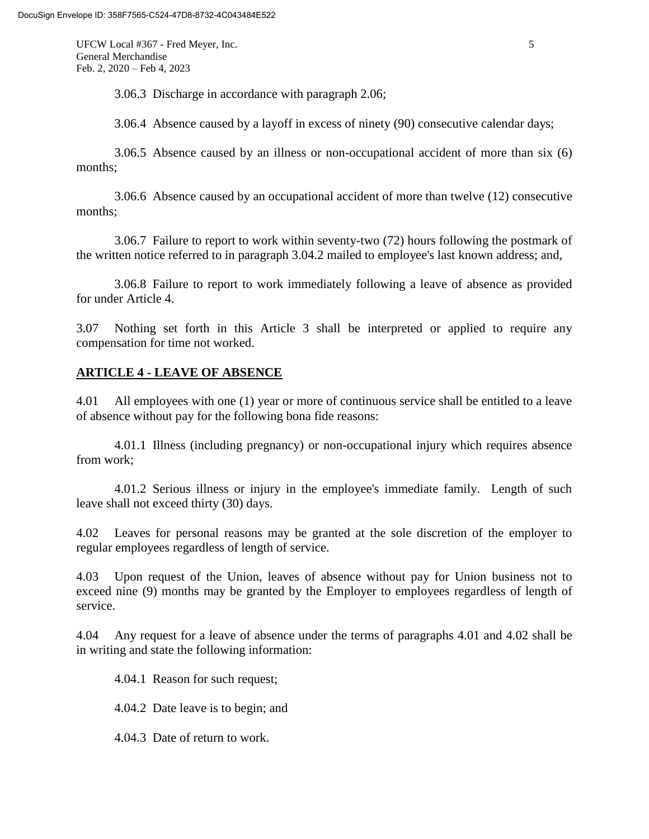UFCW Local #367 - Fred Meyer, Inc. 5 General Merchandise Feb. 2, 2020 – Feb 4, 2023

3.06.3 Discharge in accordance with paragraph 2.06;

3.06.4 Absence caused by a layoff in excess of ninety (90) consecutive calendar days;

3.06.5 Absence caused by an illness or non-occupational accident of more than six (6) months;

3.06.6 Absence caused by an occupational accident of more than twelve (12) consecutive months;

3.06.7 Failure to report to work within seventy-two (72) hours following the postmark of the written notice referred to in paragraph 3.04.2 mailed to employee's last known address; and,

3.06.8 Failure to report to work immediately following a leave of absence as provided for under Article 4.

3.07 Nothing set forth in this Article 3 shall be interpreted or applied to require any compensation for time not worked.

# **ARTICLE 4 - LEAVE OF ABSENCE**

4.01 All employees with one (1) year or more of continuous service shall be entitled to a leave of absence without pay for the following bona fide reasons:

4.01.1 Illness (including pregnancy) or non-occupational injury which requires absence from work;

4.01.2 Serious illness or injury in the employee's immediate family. Length of such leave shall not exceed thirty (30) days.

4.02 Leaves for personal reasons may be granted at the sole discretion of the employer to regular employees regardless of length of service.

4.03 Upon request of the Union, leaves of absence without pay for Union business not to exceed nine (9) months may be granted by the Employer to employees regardless of length of service.

4.04 Any request for a leave of absence under the terms of paragraphs 4.01 and 4.02 shall be in writing and state the following information:

4.04.1 Reason for such request;

4.04.2 Date leave is to begin; and

4.04.3 Date of return to work.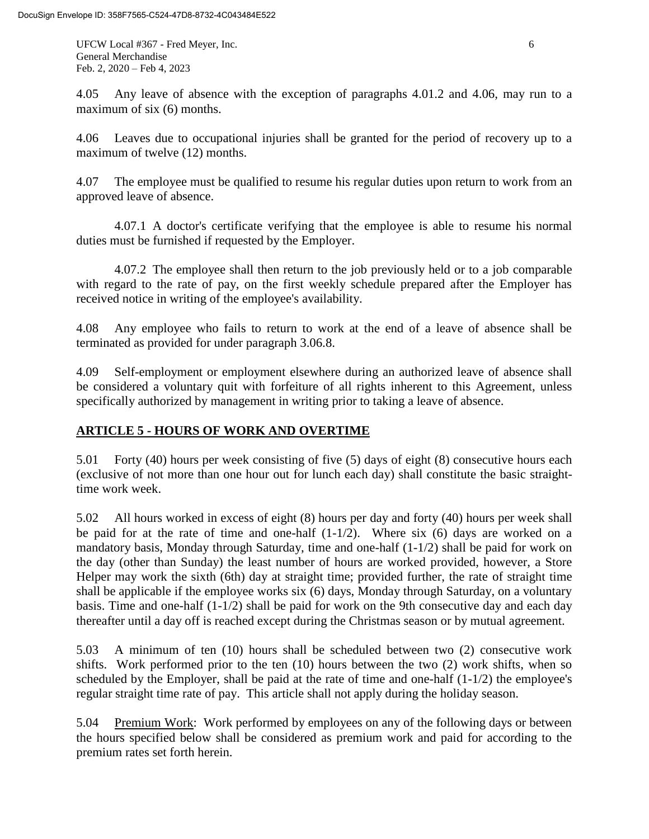UFCW Local #367 - Fred Meyer, Inc. 6 General Merchandise Feb. 2, 2020 – Feb 4, 2023

4.05 Any leave of absence with the exception of paragraphs 4.01.2 and 4.06, may run to a maximum of six (6) months.

4.06 Leaves due to occupational injuries shall be granted for the period of recovery up to a maximum of twelve (12) months.

4.07 The employee must be qualified to resume his regular duties upon return to work from an approved leave of absence.

4.07.1 A doctor's certificate verifying that the employee is able to resume his normal duties must be furnished if requested by the Employer.

4.07.2 The employee shall then return to the job previously held or to a job comparable with regard to the rate of pay, on the first weekly schedule prepared after the Employer has received notice in writing of the employee's availability.

4.08 Any employee who fails to return to work at the end of a leave of absence shall be terminated as provided for under paragraph 3.06.8.

4.09 Self-employment or employment elsewhere during an authorized leave of absence shall be considered a voluntary quit with forfeiture of all rights inherent to this Agreement, unless specifically authorized by management in writing prior to taking a leave of absence.

# **ARTICLE 5 - HOURS OF WORK AND OVERTIME**

5.01 Forty (40) hours per week consisting of five (5) days of eight (8) consecutive hours each (exclusive of not more than one hour out for lunch each day) shall constitute the basic straighttime work week.

5.02 All hours worked in excess of eight (8) hours per day and forty (40) hours per week shall be paid for at the rate of time and one-half  $(1-1/2)$ . Where six  $(6)$  days are worked on a mandatory basis, Monday through Saturday, time and one-half (1-1/2) shall be paid for work on the day (other than Sunday) the least number of hours are worked provided, however, a Store Helper may work the sixth (6th) day at straight time; provided further, the rate of straight time shall be applicable if the employee works six (6) days, Monday through Saturday, on a voluntary basis. Time and one-half (1-1/2) shall be paid for work on the 9th consecutive day and each day thereafter until a day off is reached except during the Christmas season or by mutual agreement.

5.03 A minimum of ten (10) hours shall be scheduled between two (2) consecutive work shifts. Work performed prior to the ten (10) hours between the two (2) work shifts, when so scheduled by the Employer, shall be paid at the rate of time and one-half  $(1-1/2)$  the employee's regular straight time rate of pay. This article shall not apply during the holiday season.

5.04 Premium Work: Work performed by employees on any of the following days or between the hours specified below shall be considered as premium work and paid for according to the premium rates set forth herein.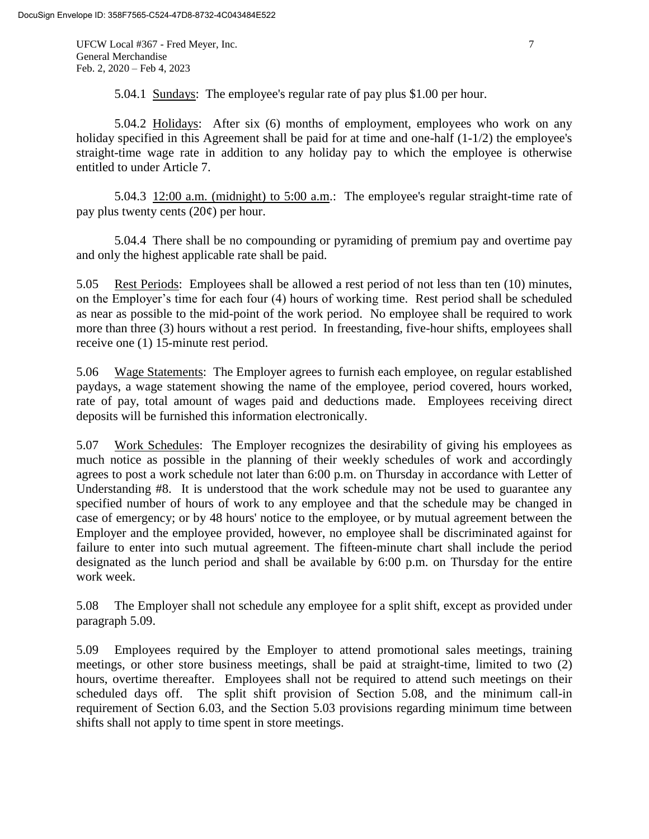UFCW Local #367 - Fred Meyer, Inc. 7 General Merchandise Feb. 2, 2020 – Feb 4, 2023

5.04.1 Sundays: The employee's regular rate of pay plus \$1.00 per hour.

5.04.2 Holidays: After six (6) months of employment, employees who work on any holiday specified in this Agreement shall be paid for at time and one-half  $(1-1/2)$  the employee's straight-time wage rate in addition to any holiday pay to which the employee is otherwise entitled to under Article 7.

5.04.3 12:00 a.m. (midnight) to 5:00 a.m.: The employee's regular straight-time rate of pay plus twenty cents  $(20¢)$  per hour.

5.04.4 There shall be no compounding or pyramiding of premium pay and overtime pay and only the highest applicable rate shall be paid.

5.05 Rest Periods: Employees shall be allowed a rest period of not less than ten (10) minutes, on the Employer's time for each four (4) hours of working time. Rest period shall be scheduled as near as possible to the mid-point of the work period. No employee shall be required to work more than three (3) hours without a rest period. In freestanding, five-hour shifts, employees shall receive one (1) 15-minute rest period.

5.06 Wage Statements: The Employer agrees to furnish each employee, on regular established paydays, a wage statement showing the name of the employee, period covered, hours worked, rate of pay, total amount of wages paid and deductions made. Employees receiving direct deposits will be furnished this information electronically.

5.07 Work Schedules: The Employer recognizes the desirability of giving his employees as much notice as possible in the planning of their weekly schedules of work and accordingly agrees to post a work schedule not later than 6:00 p.m. on Thursday in accordance with Letter of Understanding #8. It is understood that the work schedule may not be used to guarantee any specified number of hours of work to any employee and that the schedule may be changed in case of emergency; or by 48 hours' notice to the employee, or by mutual agreement between the Employer and the employee provided, however, no employee shall be discriminated against for failure to enter into such mutual agreement. The fifteen-minute chart shall include the period designated as the lunch period and shall be available by 6:00 p.m. on Thursday for the entire work week.

5.08 The Employer shall not schedule any employee for a split shift, except as provided under paragraph 5.09.

5.09 Employees required by the Employer to attend promotional sales meetings, training meetings, or other store business meetings, shall be paid at straight-time, limited to two (2) hours, overtime thereafter. Employees shall not be required to attend such meetings on their scheduled days off. The split shift provision of Section 5.08, and the minimum call-in requirement of Section 6.03, and the Section 5.03 provisions regarding minimum time between shifts shall not apply to time spent in store meetings.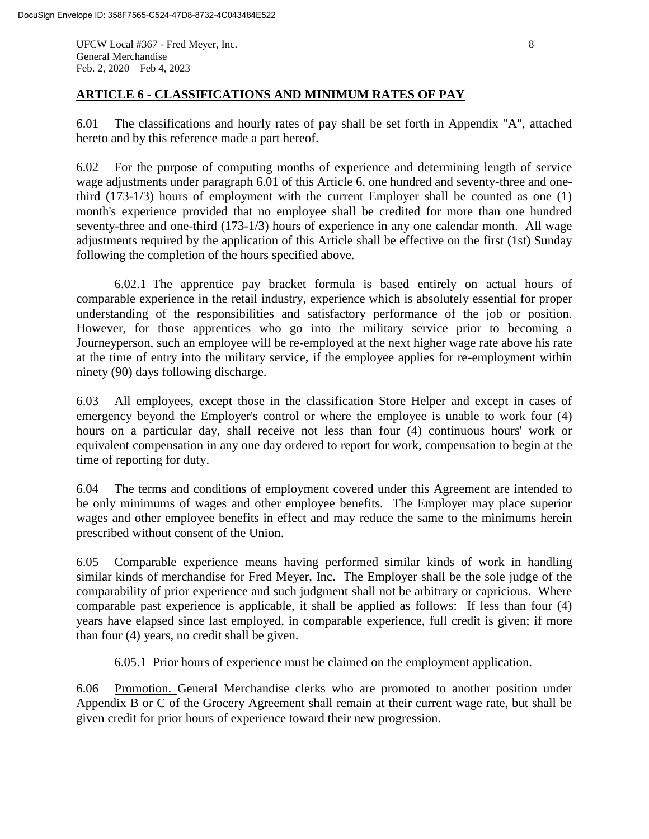UFCW Local #367 - Fred Meyer, Inc. 8 General Merchandise Feb. 2, 2020 – Feb 4, 2023

## **ARTICLE 6 - CLASSIFICATIONS AND MINIMUM RATES OF PAY**

6.01 The classifications and hourly rates of pay shall be set forth in Appendix "A", attached hereto and by this reference made a part hereof.

6.02 For the purpose of computing months of experience and determining length of service wage adjustments under paragraph 6.01 of this Article 6, one hundred and seventy-three and onethird (173-1/3) hours of employment with the current Employer shall be counted as one (1) month's experience provided that no employee shall be credited for more than one hundred seventy-three and one-third (173-1/3) hours of experience in any one calendar month. All wage adjustments required by the application of this Article shall be effective on the first (1st) Sunday following the completion of the hours specified above.

6.02.1 The apprentice pay bracket formula is based entirely on actual hours of comparable experience in the retail industry, experience which is absolutely essential for proper understanding of the responsibilities and satisfactory performance of the job or position. However, for those apprentices who go into the military service prior to becoming a Journeyperson, such an employee will be re-employed at the next higher wage rate above his rate at the time of entry into the military service, if the employee applies for re-employment within ninety (90) days following discharge.

6.03 All employees, except those in the classification Store Helper and except in cases of emergency beyond the Employer's control or where the employee is unable to work four (4) hours on a particular day, shall receive not less than four (4) continuous hours' work or equivalent compensation in any one day ordered to report for work, compensation to begin at the time of reporting for duty.

6.04 The terms and conditions of employment covered under this Agreement are intended to be only minimums of wages and other employee benefits. The Employer may place superior wages and other employee benefits in effect and may reduce the same to the minimums herein prescribed without consent of the Union.

6.05 Comparable experience means having performed similar kinds of work in handling similar kinds of merchandise for Fred Meyer, Inc. The Employer shall be the sole judge of the comparability of prior experience and such judgment shall not be arbitrary or capricious. Where comparable past experience is applicable, it shall be applied as follows: If less than four (4) years have elapsed since last employed, in comparable experience, full credit is given; if more than four (4) years, no credit shall be given.

6.05.1 Prior hours of experience must be claimed on the employment application.

6.06 Promotion. General Merchandise clerks who are promoted to another position under Appendix B or C of the Grocery Agreement shall remain at their current wage rate, but shall be given credit for prior hours of experience toward their new progression.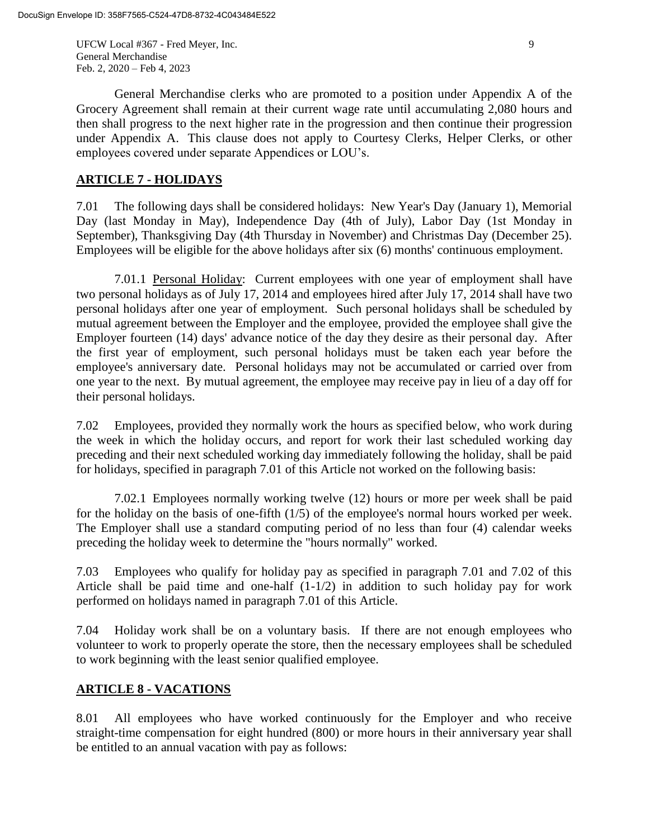UFCW Local #367 - Fred Meyer, Inc. 9 General Merchandise Feb. 2, 2020 – Feb 4, 2023

General Merchandise clerks who are promoted to a position under Appendix A of the Grocery Agreement shall remain at their current wage rate until accumulating 2,080 hours and then shall progress to the next higher rate in the progression and then continue their progression under Appendix A. This clause does not apply to Courtesy Clerks, Helper Clerks, or other employees covered under separate Appendices or LOU's.

## **ARTICLE 7 - HOLIDAYS**

7.01 The following days shall be considered holidays: New Year's Day (January 1), Memorial Day (last Monday in May), Independence Day (4th of July), Labor Day (1st Monday in September), Thanksgiving Day (4th Thursday in November) and Christmas Day (December 25). Employees will be eligible for the above holidays after six (6) months' continuous employment.

7.01.1 Personal Holiday: Current employees with one year of employment shall have two personal holidays as of July 17, 2014 and employees hired after July 17, 2014 shall have two personal holidays after one year of employment. Such personal holidays shall be scheduled by mutual agreement between the Employer and the employee, provided the employee shall give the Employer fourteen (14) days' advance notice of the day they desire as their personal day. After the first year of employment, such personal holidays must be taken each year before the employee's anniversary date. Personal holidays may not be accumulated or carried over from one year to the next. By mutual agreement, the employee may receive pay in lieu of a day off for their personal holidays.

7.02 Employees, provided they normally work the hours as specified below, who work during the week in which the holiday occurs, and report for work their last scheduled working day preceding and their next scheduled working day immediately following the holiday, shall be paid for holidays, specified in paragraph 7.01 of this Article not worked on the following basis:

7.02.1 Employees normally working twelve (12) hours or more per week shall be paid for the holiday on the basis of one-fifth (1/5) of the employee's normal hours worked per week. The Employer shall use a standard computing period of no less than four (4) calendar weeks preceding the holiday week to determine the "hours normally" worked.

7.03 Employees who qualify for holiday pay as specified in paragraph 7.01 and 7.02 of this Article shall be paid time and one-half (1-1/2) in addition to such holiday pay for work performed on holidays named in paragraph 7.01 of this Article.

7.04 Holiday work shall be on a voluntary basis. If there are not enough employees who volunteer to work to properly operate the store, then the necessary employees shall be scheduled to work beginning with the least senior qualified employee.

# **ARTICLE 8 - VACATIONS**

8.01 All employees who have worked continuously for the Employer and who receive straight-time compensation for eight hundred (800) or more hours in their anniversary year shall be entitled to an annual vacation with pay as follows: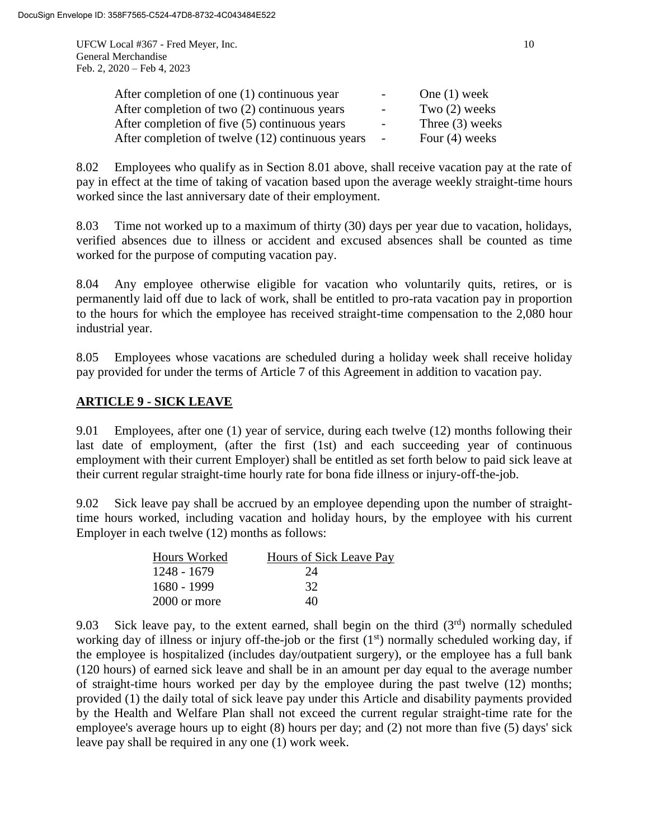UFCW Local #367 - Fred Meyer, Inc. 10 General Merchandise Feb. 2, 2020 – Feb 4, 2023

| After completion of one (1) continuous year      | $-$    | One $(1)$ week    |
|--------------------------------------------------|--------|-------------------|
| After completion of two (2) continuous years     | $\sim$ | Two $(2)$ weeks   |
| After completion of five (5) continuous years    | $\sim$ | Three $(3)$ weeks |
| After completion of twelve (12) continuous years | $\sim$ | Four $(4)$ weeks  |

8.02 Employees who qualify as in Section 8.01 above, shall receive vacation pay at the rate of pay in effect at the time of taking of vacation based upon the average weekly straight-time hours worked since the last anniversary date of their employment.

8.03 Time not worked up to a maximum of thirty (30) days per year due to vacation, holidays, verified absences due to illness or accident and excused absences shall be counted as time worked for the purpose of computing vacation pay.

8.04 Any employee otherwise eligible for vacation who voluntarily quits, retires, or is permanently laid off due to lack of work, shall be entitled to pro-rata vacation pay in proportion to the hours for which the employee has received straight-time compensation to the 2,080 hour industrial year.

8.05 Employees whose vacations are scheduled during a holiday week shall receive holiday pay provided for under the terms of Article 7 of this Agreement in addition to vacation pay.

# **ARTICLE 9 - SICK LEAVE**

9.01 Employees, after one (1) year of service, during each twelve (12) months following their last date of employment, (after the first (1st) and each succeeding year of continuous employment with their current Employer) shall be entitled as set forth below to paid sick leave at their current regular straight-time hourly rate for bona fide illness or injury-off-the-job.

9.02 Sick leave pay shall be accrued by an employee depending upon the number of straighttime hours worked, including vacation and holiday hours, by the employee with his current Employer in each twelve (12) months as follows:

| Hours Worked | Hours of Sick Leave Pay |
|--------------|-------------------------|
| 1248 - 1679  | 24                      |
| 1680 - 1999  | 32                      |
| 2000 or more | 40                      |

9.03 Sick leave pay, to the extent earned, shall begin on the third  $(3<sup>rd</sup>)$  normally scheduled working day of illness or injury off-the-job or the first  $(1<sup>st</sup>)$  normally scheduled working day, if the employee is hospitalized (includes day/outpatient surgery), or the employee has a full bank (120 hours) of earned sick leave and shall be in an amount per day equal to the average number of straight-time hours worked per day by the employee during the past twelve (12) months; provided (1) the daily total of sick leave pay under this Article and disability payments provided by the Health and Welfare Plan shall not exceed the current regular straight-time rate for the employee's average hours up to eight (8) hours per day; and (2) not more than five (5) days' sick leave pay shall be required in any one (1) work week.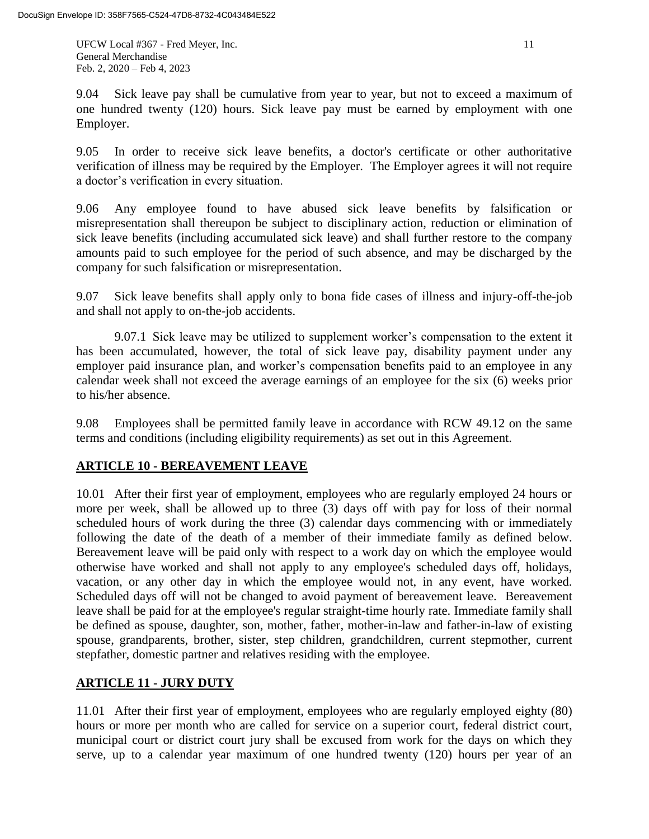UFCW Local #367 - Fred Meyer, Inc. 11 General Merchandise Feb. 2, 2020 – Feb 4, 2023

9.04 Sick leave pay shall be cumulative from year to year, but not to exceed a maximum of one hundred twenty (120) hours. Sick leave pay must be earned by employment with one Employer.

9.05 In order to receive sick leave benefits, a doctor's certificate or other authoritative verification of illness may be required by the Employer. The Employer agrees it will not require a doctor's verification in every situation.

9.06 Any employee found to have abused sick leave benefits by falsification or misrepresentation shall thereupon be subject to disciplinary action, reduction or elimination of sick leave benefits (including accumulated sick leave) and shall further restore to the company amounts paid to such employee for the period of such absence, and may be discharged by the company for such falsification or misrepresentation.

9.07 Sick leave benefits shall apply only to bona fide cases of illness and injury-off-the-job and shall not apply to on-the-job accidents.

9.07.1 Sick leave may be utilized to supplement worker's compensation to the extent it has been accumulated, however, the total of sick leave pay, disability payment under any employer paid insurance plan, and worker's compensation benefits paid to an employee in any calendar week shall not exceed the average earnings of an employee for the six (6) weeks prior to his/her absence.

9.08 Employees shall be permitted family leave in accordance with RCW 49.12 on the same terms and conditions (including eligibility requirements) as set out in this Agreement.

# **ARTICLE 10 - BEREAVEMENT LEAVE**

10.01 After their first year of employment, employees who are regularly employed 24 hours or more per week, shall be allowed up to three (3) days off with pay for loss of their normal scheduled hours of work during the three (3) calendar days commencing with or immediately following the date of the death of a member of their immediate family as defined below. Bereavement leave will be paid only with respect to a work day on which the employee would otherwise have worked and shall not apply to any employee's scheduled days off, holidays, vacation, or any other day in which the employee would not, in any event, have worked. Scheduled days off will not be changed to avoid payment of bereavement leave. Bereavement leave shall be paid for at the employee's regular straight-time hourly rate. Immediate family shall be defined as spouse, daughter, son, mother, father, mother-in-law and father-in-law of existing spouse, grandparents, brother, sister, step children, grandchildren, current stepmother, current stepfather, domestic partner and relatives residing with the employee.

# **ARTICLE 11 - JURY DUTY**

11.01 After their first year of employment, employees who are regularly employed eighty (80) hours or more per month who are called for service on a superior court, federal district court, municipal court or district court jury shall be excused from work for the days on which they serve, up to a calendar year maximum of one hundred twenty (120) hours per year of an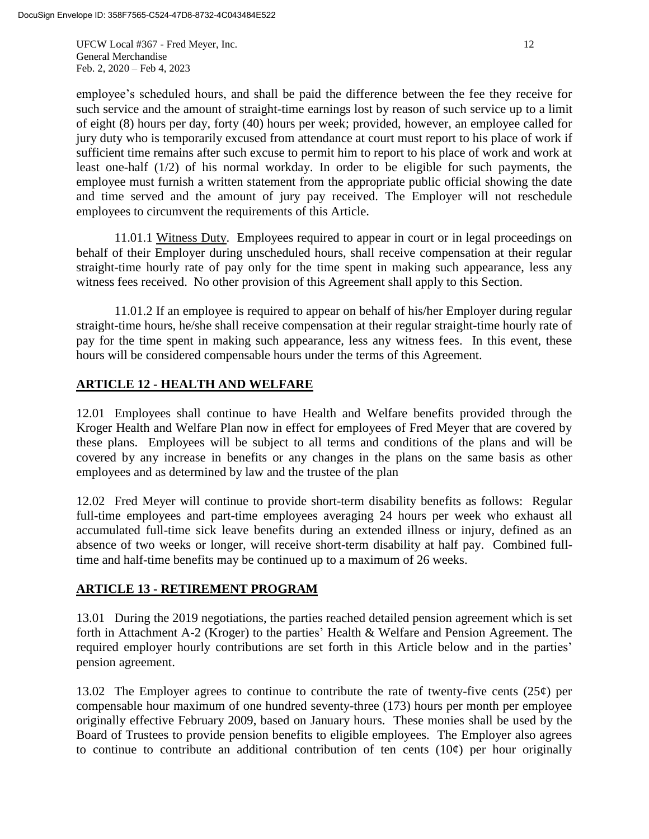UFCW Local #367 - Fred Meyer, Inc. 12 General Merchandise Feb. 2, 2020 – Feb 4, 2023

employee's scheduled hours, and shall be paid the difference between the fee they receive for such service and the amount of straight-time earnings lost by reason of such service up to a limit of eight (8) hours per day, forty (40) hours per week; provided, however, an employee called for jury duty who is temporarily excused from attendance at court must report to his place of work if sufficient time remains after such excuse to permit him to report to his place of work and work at least one-half (1/2) of his normal workday. In order to be eligible for such payments, the employee must furnish a written statement from the appropriate public official showing the date and time served and the amount of jury pay received. The Employer will not reschedule employees to circumvent the requirements of this Article.

11.01.1 Witness Duty. Employees required to appear in court or in legal proceedings on behalf of their Employer during unscheduled hours, shall receive compensation at their regular straight-time hourly rate of pay only for the time spent in making such appearance, less any witness fees received. No other provision of this Agreement shall apply to this Section.

11.01.2 If an employee is required to appear on behalf of his/her Employer during regular straight-time hours, he/she shall receive compensation at their regular straight-time hourly rate of pay for the time spent in making such appearance, less any witness fees. In this event, these hours will be considered compensable hours under the terms of this Agreement.

# **ARTICLE 12 - HEALTH AND WELFARE**

12.01 Employees shall continue to have Health and Welfare benefits provided through the Kroger Health and Welfare Plan now in effect for employees of Fred Meyer that are covered by these plans. Employees will be subject to all terms and conditions of the plans and will be covered by any increase in benefits or any changes in the plans on the same basis as other employees and as determined by law and the trustee of the plan

12.02 Fred Meyer will continue to provide short-term disability benefits as follows: Regular full-time employees and part-time employees averaging 24 hours per week who exhaust all accumulated full-time sick leave benefits during an extended illness or injury, defined as an absence of two weeks or longer, will receive short-term disability at half pay. Combined fulltime and half-time benefits may be continued up to a maximum of 26 weeks.

## **ARTICLE 13 - RETIREMENT PROGRAM**

13.01 During the 2019 negotiations, the parties reached detailed pension agreement which is set forth in Attachment A-2 (Kroger) to the parties' Health & Welfare and Pension Agreement. The required employer hourly contributions are set forth in this Article below and in the parties' pension agreement.

13.02 The Employer agrees to continue to contribute the rate of twenty-five cents  $(25¢)$  per compensable hour maximum of one hundred seventy-three (173) hours per month per employee originally effective February 2009, based on January hours. These monies shall be used by the Board of Trustees to provide pension benefits to eligible employees. The Employer also agrees to continue to contribute an additional contribution of ten cents  $(10¢)$  per hour originally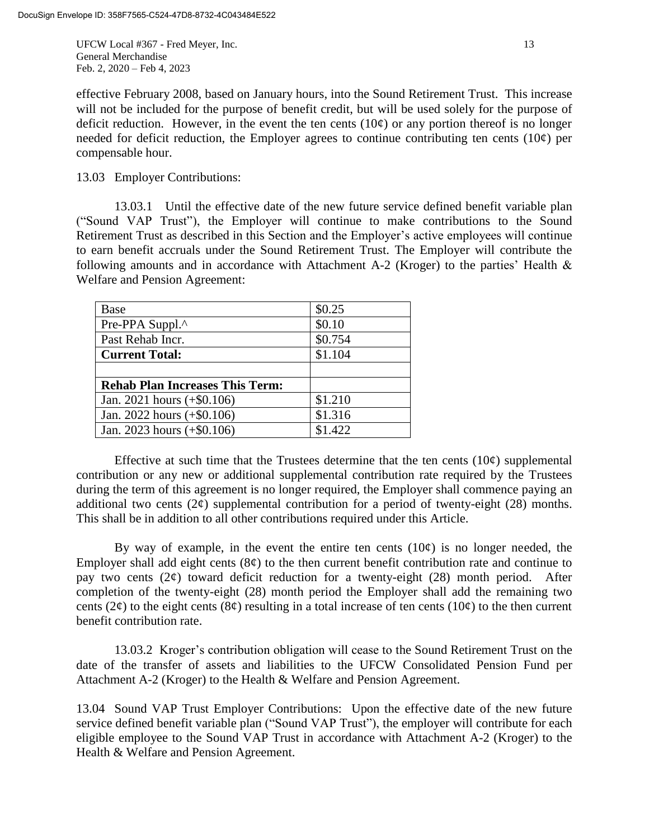UFCW Local #367 - Fred Meyer, Inc. 13 General Merchandise Feb. 2, 2020 – Feb 4, 2023

effective February 2008, based on January hours, into the Sound Retirement Trust. This increase will not be included for the purpose of benefit credit, but will be used solely for the purpose of deficit reduction. However, in the event the ten cents  $(10¢)$  or any portion thereof is no longer needed for deficit reduction, the Employer agrees to continue contributing ten cents (10 $\varphi$ ) per compensable hour.

13.03 Employer Contributions:

13.03.1 Until the effective date of the new future service defined benefit variable plan ("Sound VAP Trust"), the Employer will continue to make contributions to the Sound Retirement Trust as described in this Section and the Employer's active employees will continue to earn benefit accruals under the Sound Retirement Trust. The Employer will contribute the following amounts and in accordance with Attachment A-2 (Kroger) to the parties' Health & Welfare and Pension Agreement:

| Base                                   | \$0.25  |
|----------------------------------------|---------|
| Pre-PPA Suppl.^                        | \$0.10  |
| Past Rehab Incr.                       | \$0.754 |
| <b>Current Total:</b>                  | \$1.104 |
|                                        |         |
| <b>Rehab Plan Increases This Term:</b> |         |
| Jan. 2021 hours $(+\$0.106)$           | \$1.210 |
| Jan. 2022 hours $(+\$0.106)$           | \$1.316 |
| Jan. 2023 hours (+\$0.106)             | \$1.422 |

Effective at such time that the Trustees determine that the ten cents  $(10¢)$  supplemental contribution or any new or additional supplemental contribution rate required by the Trustees during the term of this agreement is no longer required, the Employer shall commence paying an additional two cents  $(2\varphi)$  supplemental contribution for a period of twenty-eight (28) months. This shall be in addition to all other contributions required under this Article.

By way of example, in the event the entire ten cents  $(10¢)$  is no longer needed, the Employer shall add eight cents  $(8¢)$  to the then current benefit contribution rate and continue to pay two cents  $(2\phi)$  toward deficit reduction for a twenty-eight  $(28)$  month period. After completion of the twenty-eight (28) month period the Employer shall add the remaining two cents ( $2\phi$ ) to the eight cents ( $8\phi$ ) resulting in a total increase of ten cents ( $10\phi$ ) to the then current benefit contribution rate.

13.03.2 Kroger's contribution obligation will cease to the Sound Retirement Trust on the date of the transfer of assets and liabilities to the UFCW Consolidated Pension Fund per Attachment A-2 (Kroger) to the Health & Welfare and Pension Agreement.

13.04 Sound VAP Trust Employer Contributions: Upon the effective date of the new future service defined benefit variable plan ("Sound VAP Trust"), the employer will contribute for each eligible employee to the Sound VAP Trust in accordance with Attachment A-2 (Kroger) to the Health & Welfare and Pension Agreement.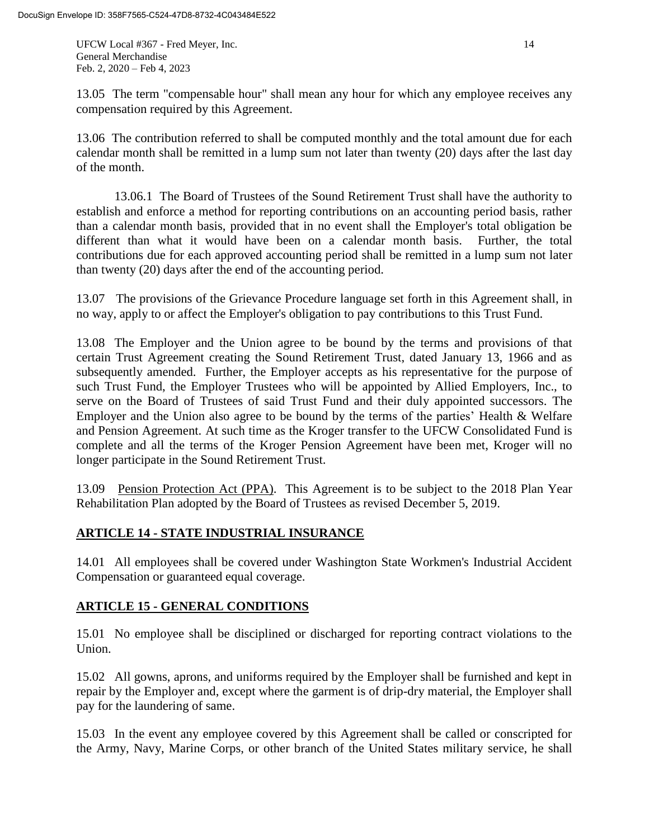UFCW Local #367 - Fred Meyer, Inc. 14 General Merchandise Feb. 2, 2020 – Feb 4, 2023

13.05 The term "compensable hour" shall mean any hour for which any employee receives any compensation required by this Agreement.

13.06 The contribution referred to shall be computed monthly and the total amount due for each calendar month shall be remitted in a lump sum not later than twenty (20) days after the last day of the month.

13.06.1 The Board of Trustees of the Sound Retirement Trust shall have the authority to establish and enforce a method for reporting contributions on an accounting period basis, rather than a calendar month basis, provided that in no event shall the Employer's total obligation be different than what it would have been on a calendar month basis. Further, the total contributions due for each approved accounting period shall be remitted in a lump sum not later than twenty (20) days after the end of the accounting period.

13.07 The provisions of the Grievance Procedure language set forth in this Agreement shall, in no way, apply to or affect the Employer's obligation to pay contributions to this Trust Fund.

13.08 The Employer and the Union agree to be bound by the terms and provisions of that certain Trust Agreement creating the Sound Retirement Trust, dated January 13, 1966 and as subsequently amended. Further, the Employer accepts as his representative for the purpose of such Trust Fund, the Employer Trustees who will be appointed by Allied Employers, Inc., to serve on the Board of Trustees of said Trust Fund and their duly appointed successors. The Employer and the Union also agree to be bound by the terms of the parties' Health & Welfare and Pension Agreement. At such time as the Kroger transfer to the UFCW Consolidated Fund is complete and all the terms of the Kroger Pension Agreement have been met, Kroger will no longer participate in the Sound Retirement Trust.

13.09 Pension Protection Act (PPA). This Agreement is to be subject to the 2018 Plan Year Rehabilitation Plan adopted by the Board of Trustees as revised December 5, 2019.

# **ARTICLE 14 - STATE INDUSTRIAL INSURANCE**

14.01 All employees shall be covered under Washington State Workmen's Industrial Accident Compensation or guaranteed equal coverage.

# **ARTICLE 15 - GENERAL CONDITIONS**

15.01 No employee shall be disciplined or discharged for reporting contract violations to the Union.

15.02 All gowns, aprons, and uniforms required by the Employer shall be furnished and kept in repair by the Employer and, except where the garment is of drip-dry material, the Employer shall pay for the laundering of same.

15.03 In the event any employee covered by this Agreement shall be called or conscripted for the Army, Navy, Marine Corps, or other branch of the United States military service, he shall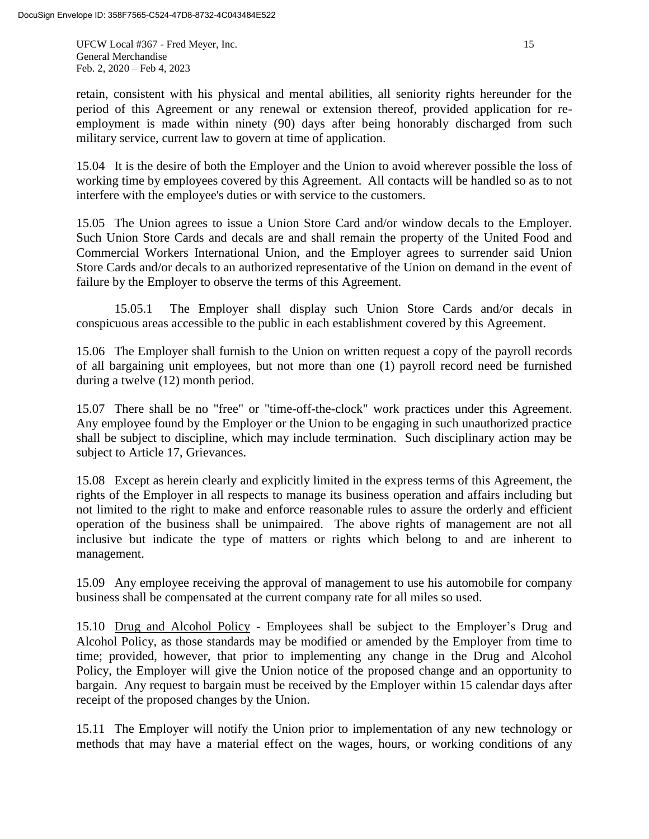UFCW Local #367 - Fred Meyer, Inc. 15 General Merchandise Feb. 2, 2020 – Feb 4, 2023

retain, consistent with his physical and mental abilities, all seniority rights hereunder for the period of this Agreement or any renewal or extension thereof, provided application for reemployment is made within ninety (90) days after being honorably discharged from such military service, current law to govern at time of application.

15.04 It is the desire of both the Employer and the Union to avoid wherever possible the loss of working time by employees covered by this Agreement. All contacts will be handled so as to not interfere with the employee's duties or with service to the customers.

15.05 The Union agrees to issue a Union Store Card and/or window decals to the Employer. Such Union Store Cards and decals are and shall remain the property of the United Food and Commercial Workers International Union, and the Employer agrees to surrender said Union Store Cards and/or decals to an authorized representative of the Union on demand in the event of failure by the Employer to observe the terms of this Agreement.

15.05.1 The Employer shall display such Union Store Cards and/or decals in conspicuous areas accessible to the public in each establishment covered by this Agreement.

15.06 The Employer shall furnish to the Union on written request a copy of the payroll records of all bargaining unit employees, but not more than one (1) payroll record need be furnished during a twelve (12) month period.

15.07 There shall be no "free" or "time-off-the-clock" work practices under this Agreement. Any employee found by the Employer or the Union to be engaging in such unauthorized practice shall be subject to discipline, which may include termination. Such disciplinary action may be subject to Article 17, Grievances.

15.08 Except as herein clearly and explicitly limited in the express terms of this Agreement, the rights of the Employer in all respects to manage its business operation and affairs including but not limited to the right to make and enforce reasonable rules to assure the orderly and efficient operation of the business shall be unimpaired. The above rights of management are not all inclusive but indicate the type of matters or rights which belong to and are inherent to management.

15.09 Any employee receiving the approval of management to use his automobile for company business shall be compensated at the current company rate for all miles so used.

15.10 Drug and Alcohol Policy - Employees shall be subject to the Employer's Drug and Alcohol Policy, as those standards may be modified or amended by the Employer from time to time; provided, however, that prior to implementing any change in the Drug and Alcohol Policy, the Employer will give the Union notice of the proposed change and an opportunity to bargain. Any request to bargain must be received by the Employer within 15 calendar days after receipt of the proposed changes by the Union.

15.11 The Employer will notify the Union prior to implementation of any new technology or methods that may have a material effect on the wages, hours, or working conditions of any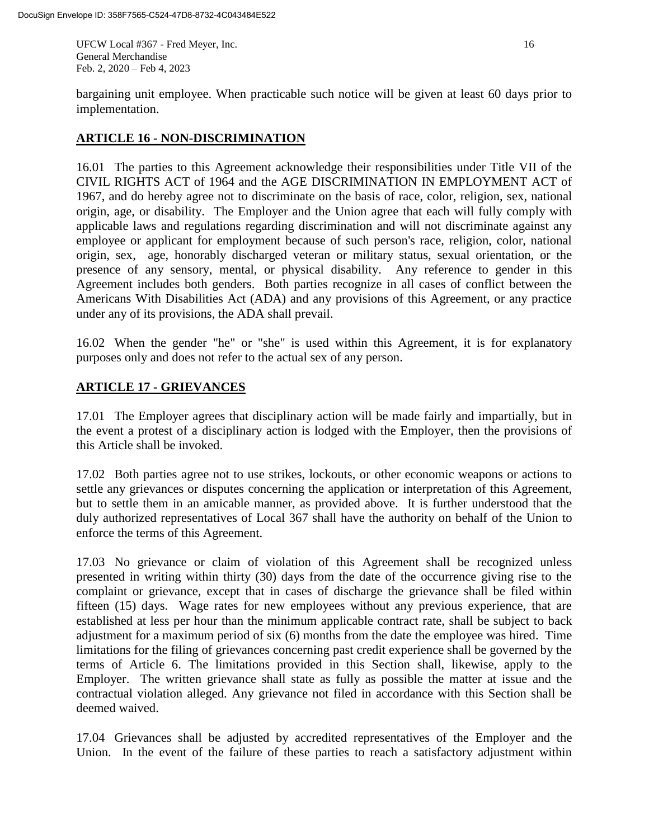UFCW Local #367 - Fred Meyer, Inc. 16 General Merchandise Feb. 2, 2020 – Feb 4, 2023

bargaining unit employee. When practicable such notice will be given at least 60 days prior to implementation.

## **ARTICLE 16 - NON-DISCRIMINATION**

16.01 The parties to this Agreement acknowledge their responsibilities under Title VII of the CIVIL RIGHTS ACT of 1964 and the AGE DISCRIMINATION IN EMPLOYMENT ACT of 1967, and do hereby agree not to discriminate on the basis of race, color, religion, sex, national origin, age, or disability. The Employer and the Union agree that each will fully comply with applicable laws and regulations regarding discrimination and will not discriminate against any employee or applicant for employment because of such person's race, religion, color, national origin, sex, age, honorably discharged veteran or military status, sexual orientation, or the presence of any sensory, mental, or physical disability. Any reference to gender in this Agreement includes both genders. Both parties recognize in all cases of conflict between the Americans With Disabilities Act (ADA) and any provisions of this Agreement, or any practice under any of its provisions, the ADA shall prevail.

16.02 When the gender "he" or "she" is used within this Agreement, it is for explanatory purposes only and does not refer to the actual sex of any person.

# **ARTICLE 17 - GRIEVANCES**

17.01 The Employer agrees that disciplinary action will be made fairly and impartially, but in the event a protest of a disciplinary action is lodged with the Employer, then the provisions of this Article shall be invoked.

17.02 Both parties agree not to use strikes, lockouts, or other economic weapons or actions to settle any grievances or disputes concerning the application or interpretation of this Agreement, but to settle them in an amicable manner, as provided above. It is further understood that the duly authorized representatives of Local 367 shall have the authority on behalf of the Union to enforce the terms of this Agreement.

17.03 No grievance or claim of violation of this Agreement shall be recognized unless presented in writing within thirty (30) days from the date of the occurrence giving rise to the complaint or grievance, except that in cases of discharge the grievance shall be filed within fifteen (15) days. Wage rates for new employees without any previous experience, that are established at less per hour than the minimum applicable contract rate, shall be subject to back adjustment for a maximum period of six (6) months from the date the employee was hired. Time limitations for the filing of grievances concerning past credit experience shall be governed by the terms of Article 6. The limitations provided in this Section shall, likewise, apply to the Employer. The written grievance shall state as fully as possible the matter at issue and the contractual violation alleged. Any grievance not filed in accordance with this Section shall be deemed waived.

17.04 Grievances shall be adjusted by accredited representatives of the Employer and the Union. In the event of the failure of these parties to reach a satisfactory adjustment within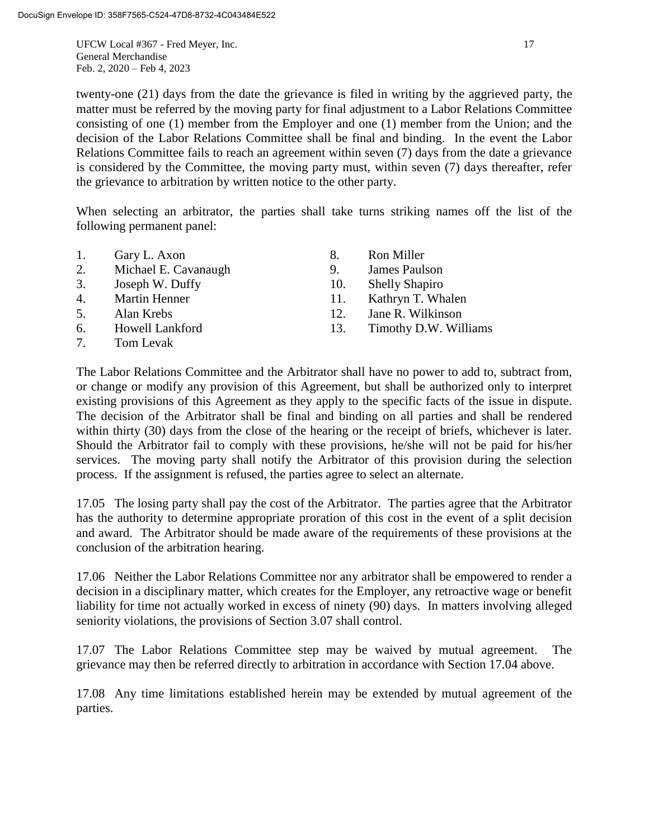UFCW Local #367 - Fred Meyer, Inc. 17 General Merchandise Feb. 2, 2020 – Feb 4, 2023

twenty-one (21) days from the date the grievance is filed in writing by the aggrieved party, the matter must be referred by the moving party for final adjustment to a Labor Relations Committee consisting of one (1) member from the Employer and one (1) member from the Union; and the decision of the Labor Relations Committee shall be final and binding. In the event the Labor Relations Committee fails to reach an agreement within seven (7) days from the date a grievance is considered by the Committee, the moving party must, within seven (7) days thereafter, refer the grievance to arbitration by written notice to the other party.

When selecting an arbitrator, the parties shall take turns striking names off the list of the following permanent panel:

| 1.                               | Gary L. Axon         | 8.  | Ron Miller            |
|----------------------------------|----------------------|-----|-----------------------|
| 2.                               | Michael E. Cavanaugh | 9.  | James Paulson         |
| 3.                               | Joseph W. Duffy      | 10. | <b>Shelly Shapiro</b> |
|                                  | 4. Martin Henner     | 11. | Kathryn T. Whalen     |
| 5.                               | Alan Krebs           | 12. | Jane R. Wilkinson     |
| 6.                               | Howell Lankford      | 13. | Timothy D.W. Williams |
| $7_{\scriptscriptstyle{\ddots}}$ | Tom Levak            |     |                       |

The Labor Relations Committee and the Arbitrator shall have no power to add to, subtract from, or change or modify any provision of this Agreement, but shall be authorized only to interpret existing provisions of this Agreement as they apply to the specific facts of the issue in dispute. The decision of the Arbitrator shall be final and binding on all parties and shall be rendered within thirty (30) days from the close of the hearing or the receipt of briefs, whichever is later. Should the Arbitrator fail to comply with these provisions, he/she will not be paid for his/her services. The moving party shall notify the Arbitrator of this provision during the selection process. If the assignment is refused, the parties agree to select an alternate.

17.05 The losing party shall pay the cost of the Arbitrator. The parties agree that the Arbitrator has the authority to determine appropriate proration of this cost in the event of a split decision and award. The Arbitrator should be made aware of the requirements of these provisions at the conclusion of the arbitration hearing.

17.06 Neither the Labor Relations Committee nor any arbitrator shall be empowered to render a decision in a disciplinary matter, which creates for the Employer, any retroactive wage or benefit liability for time not actually worked in excess of ninety (90) days. In matters involving alleged seniority violations, the provisions of Section 3.07 shall control.

17.07 The Labor Relations Committee step may be waived by mutual agreement. The grievance may then be referred directly to arbitration in accordance with Section 17.04 above.

17.08 Any time limitations established herein may be extended by mutual agreement of the parties.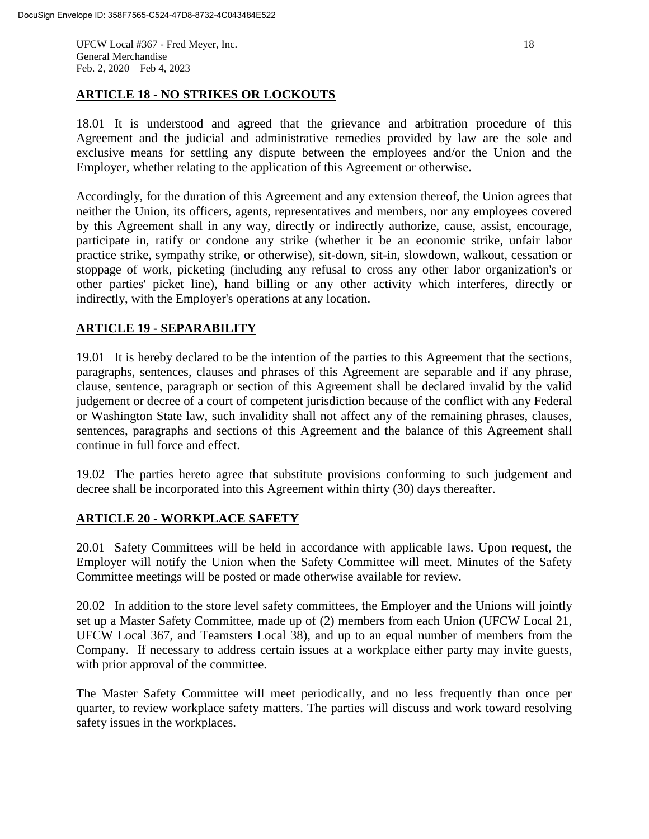UFCW Local #367 - Fred Meyer, Inc. 18 General Merchandise Feb. 2, 2020 – Feb 4, 2023

### **ARTICLE 18 - NO STRIKES OR LOCKOUTS**

18.01 It is understood and agreed that the grievance and arbitration procedure of this Agreement and the judicial and administrative remedies provided by law are the sole and exclusive means for settling any dispute between the employees and/or the Union and the Employer, whether relating to the application of this Agreement or otherwise.

Accordingly, for the duration of this Agreement and any extension thereof, the Union agrees that neither the Union, its officers, agents, representatives and members, nor any employees covered by this Agreement shall in any way, directly or indirectly authorize, cause, assist, encourage, participate in, ratify or condone any strike (whether it be an economic strike, unfair labor practice strike, sympathy strike, or otherwise), sit-down, sit-in, slowdown, walkout, cessation or stoppage of work, picketing (including any refusal to cross any other labor organization's or other parties' picket line), hand billing or any other activity which interferes, directly or indirectly, with the Employer's operations at any location.

# **ARTICLE 19 - SEPARABILITY**

19.01 It is hereby declared to be the intention of the parties to this Agreement that the sections, paragraphs, sentences, clauses and phrases of this Agreement are separable and if any phrase, clause, sentence, paragraph or section of this Agreement shall be declared invalid by the valid judgement or decree of a court of competent jurisdiction because of the conflict with any Federal or Washington State law, such invalidity shall not affect any of the remaining phrases, clauses, sentences, paragraphs and sections of this Agreement and the balance of this Agreement shall continue in full force and effect.

19.02 The parties hereto agree that substitute provisions conforming to such judgement and decree shall be incorporated into this Agreement within thirty (30) days thereafter.

# **ARTICLE 20 - WORKPLACE SAFETY**

20.01 Safety Committees will be held in accordance with applicable laws. Upon request, the Employer will notify the Union when the Safety Committee will meet. Minutes of the Safety Committee meetings will be posted or made otherwise available for review.

20.02 In addition to the store level safety committees, the Employer and the Unions will jointly set up a Master Safety Committee, made up of (2) members from each Union (UFCW Local 21, UFCW Local 367, and Teamsters Local 38), and up to an equal number of members from the Company. If necessary to address certain issues at a workplace either party may invite guests, with prior approval of the committee.

The Master Safety Committee will meet periodically, and no less frequently than once per quarter, to review workplace safety matters. The parties will discuss and work toward resolving safety issues in the workplaces.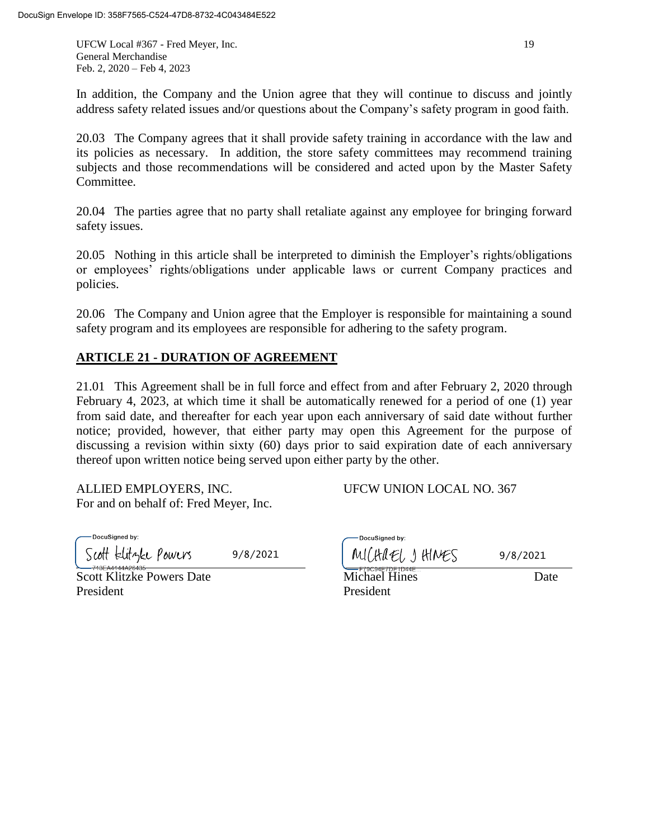UFCW Local #367 - Fred Meyer, Inc. 19 General Merchandise Feb. 2, 2020 – Feb 4, 2023

In addition, the Company and the Union agree that they will continue to discuss and jointly address safety related issues and/or questions about the Company's safety program in good faith.

20.03 The Company agrees that it shall provide safety training in accordance with the law and its policies as necessary. In addition, the store safety committees may recommend training subjects and those recommendations will be considered and acted upon by the Master Safety Committee.

20.04 The parties agree that no party shall retaliate against any employee for bringing forward safety issues.

20.05 Nothing in this article shall be interpreted to diminish the Employer's rights/obligations or employees' rights/obligations under applicable laws or current Company practices and policies.

20.06 The Company and Union agree that the Employer is responsible for maintaining a sound safety program and its employees are responsible for adhering to the safety program.

# **ARTICLE 21 - DURATION OF AGREEMENT**

21.01 This Agreement shall be in full force and effect from and after February 2, 2020 through February 4, 2023, at which time it shall be automatically renewed for a period of one (1) year from said date, and thereafter for each year upon each anniversary of said date without further notice; provided, however, that either party may open this Agreement for the purpose of discussing a revision within sixty (60) days prior to said expiration date of each anniversary thereof upon written notice being served upon either party by the other.

ALLIED EMPLOYERS, INC. UFCW UNION LOCAL NO. 367 For and on behalf of: Fred Meyer, Inc.

DocuSigned by: Scott Elityke Powers

Scott Klitzke Powers Date **Michael Hines** Date President President

|          | -DocuSigned by: |          |
|----------|-----------------|----------|
| 9/8/2021 | MICHAEL JHINES  | 9/8/2021 |
|          |                 |          |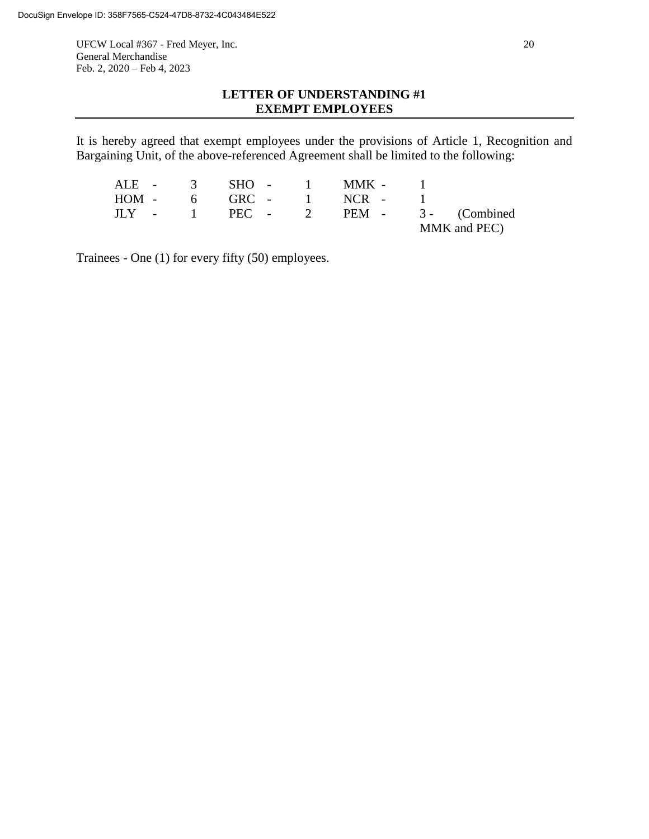UFCW Local #367 - Fred Meyer, Inc. 20 General Merchandise Feb. 2, 2020 – Feb 4, 2023

# **LETTER OF UNDERSTANDING #1 EXEMPT EMPLOYEES**

It is hereby agreed that exempt employees under the provisions of Article 1, Recognition and Bargaining Unit, of the above-referenced Agreement shall be limited to the following:

|  |  |  | ALE - 3 SHO - 1 MMK - 1   |  |                                       |
|--|--|--|---------------------------|--|---------------------------------------|
|  |  |  | $HOM - 6$ GRC - 1 NCR - 1 |  |                                       |
|  |  |  |                           |  | $JLY$ - 1 PEC - 2 PEM - 3 - (Combined |
|  |  |  |                           |  | MMK and PEC)                          |

Trainees - One (1) for every fifty (50) employees.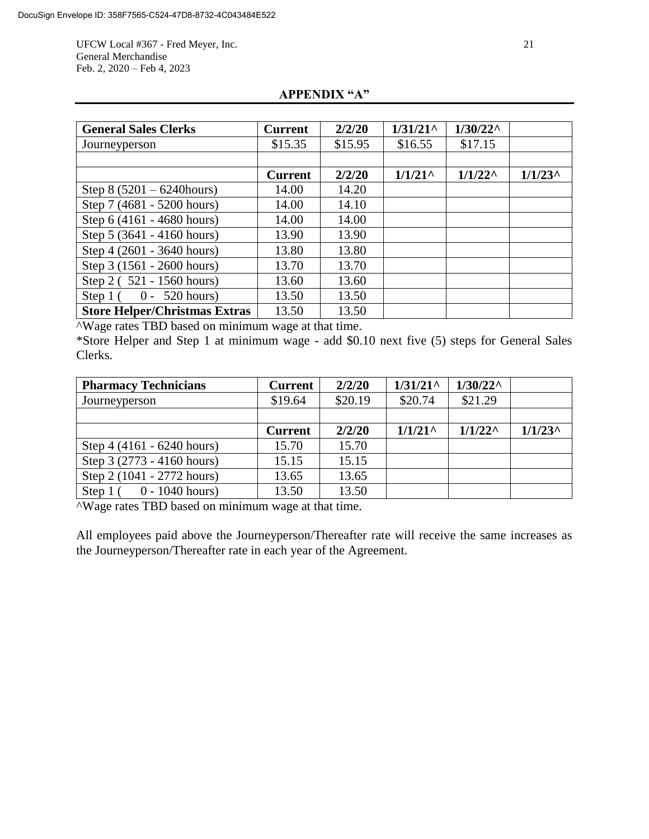UFCW Local #367 - Fred Meyer, Inc. 21 General Merchandise Feb. 2, 2020 – Feb 4, 2023

| <b>General Sales Clerks</b>          | <b>Current</b> | 2/2/20  | $1/31/21$ ^ | $1/30/22^{\wedge}$ |            |
|--------------------------------------|----------------|---------|-------------|--------------------|------------|
| Journeyperson                        | \$15.35        | \$15.95 | \$16.55     | \$17.15            |            |
|                                      |                |         |             |                    |            |
|                                      | <b>Current</b> | 2/2/20  | $1/1/21$ ^  | $1/1/22^{\wedge}$  | $1/1/23$ ^ |
| Step $8(5201 - 6240$ hours)          | 14.00          | 14.20   |             |                    |            |
| Step 7 (4681 - 5200 hours)           | 14.00          | 14.10   |             |                    |            |
| Step 6 (4161 - 4680 hours)           | 14.00          | 14.00   |             |                    |            |
| Step 5 (3641 - 4160 hours)           | 13.90          | 13.90   |             |                    |            |
| Step 4 (2601 - 3640 hours)           | 13.80          | 13.80   |             |                    |            |
| Step 3 (1561 - 2600 hours)           | 13.70          | 13.70   |             |                    |            |
| Step 2 (521 - 1560 hours)            | 13.60          | 13.60   |             |                    |            |
| $0 - 520$ hours)<br>Step $1($        | 13.50          | 13.50   |             |                    |            |
| <b>Store Helper/Christmas Extras</b> | 13.50          | 13.50   |             |                    |            |

# **APPENDIX "A"**

^Wage rates TBD based on minimum wage at that time.

\*Store Helper and Step 1 at minimum wage - add \$0.10 next five (5) steps for General Sales Clerks.

| <b>Pharmacy Technicians</b>    | <b>Current</b> | 2/2/20  | $1/31/21$ ^ | $1/30/22^{\wedge}$ |            |
|--------------------------------|----------------|---------|-------------|--------------------|------------|
| Journeyperson                  | \$19.64        | \$20.19 | \$20.74     | \$21.29            |            |
|                                |                |         |             |                    |            |
|                                | <b>Current</b> | 2/2/20  | $1/1/21$ ^  | $1/1/22^{\wedge}$  | $1/1/23$ ^ |
| Step 4 (4161 - 6240 hours)     | 15.70          | 15.70   |             |                    |            |
| Step 3 (2773 - 4160 hours)     | 15.15          | 15.15   |             |                    |            |
| Step 2 (1041 - 2772 hours)     | 13.65          | 13.65   |             |                    |            |
| $0 - 1040$ hours)<br>Step $10$ | 13.50          | 13.50   |             |                    |            |

^Wage rates TBD based on minimum wage at that time.

All employees paid above the Journeyperson/Thereafter rate will receive the same increases as the Journeyperson/Thereafter rate in each year of the Agreement.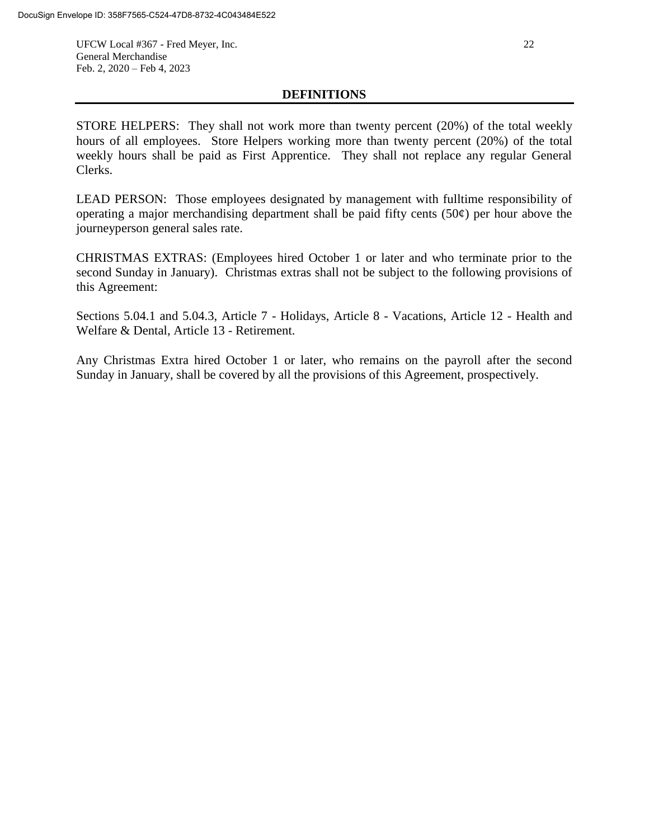UFCW Local #367 - Fred Meyer, Inc. 22 General Merchandise Feb. 2, 2020 – Feb 4, 2023

## **DEFINITIONS**

STORE HELPERS: They shall not work more than twenty percent (20%) of the total weekly hours of all employees. Store Helpers working more than twenty percent (20%) of the total weekly hours shall be paid as First Apprentice. They shall not replace any regular General Clerks.

LEAD PERSON: Those employees designated by management with fulltime responsibility of operating a major merchandising department shall be paid fifty cents  $(50¢)$  per hour above the journeyperson general sales rate.

CHRISTMAS EXTRAS: (Employees hired October 1 or later and who terminate prior to the second Sunday in January). Christmas extras shall not be subject to the following provisions of this Agreement:

Sections 5.04.1 and 5.04.3, Article 7 - Holidays, Article 8 - Vacations, Article 12 - Health and Welfare & Dental, Article 13 - Retirement.

Any Christmas Extra hired October 1 or later, who remains on the payroll after the second Sunday in January, shall be covered by all the provisions of this Agreement, prospectively.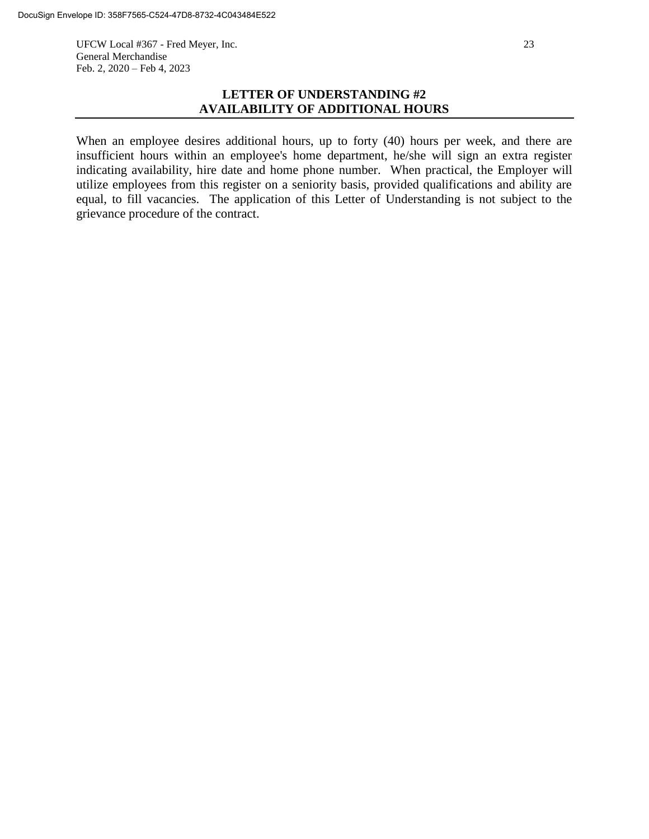UFCW Local #367 - Fred Meyer, Inc. 23 General Merchandise Feb. 2, 2020 – Feb 4, 2023

When an employee desires additional hours, up to forty (40) hours per week, and there are insufficient hours within an employee's home department, he/she will sign an extra register indicating availability, hire date and home phone number. When practical, the Employer will utilize employees from this register on a seniority basis, provided qualifications and ability are equal, to fill vacancies. The application of this Letter of Understanding is not subject to the grievance procedure of the contract.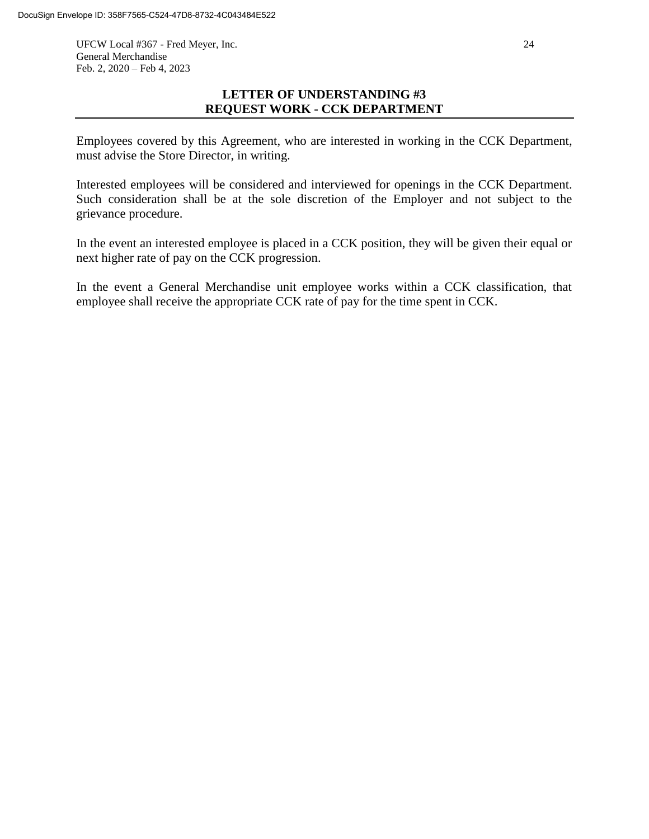UFCW Local #367 - Fred Meyer, Inc. 24 General Merchandise Feb. 2, 2020 – Feb 4, 2023

# **LETTER OF UNDERSTANDING #3 REQUEST WORK - CCK DEPARTMENT**

Employees covered by this Agreement, who are interested in working in the CCK Department, must advise the Store Director, in writing.

Interested employees will be considered and interviewed for openings in the CCK Department. Such consideration shall be at the sole discretion of the Employer and not subject to the grievance procedure.

In the event an interested employee is placed in a CCK position, they will be given their equal or next higher rate of pay on the CCK progression.

In the event a General Merchandise unit employee works within a CCK classification, that employee shall receive the appropriate CCK rate of pay for the time spent in CCK.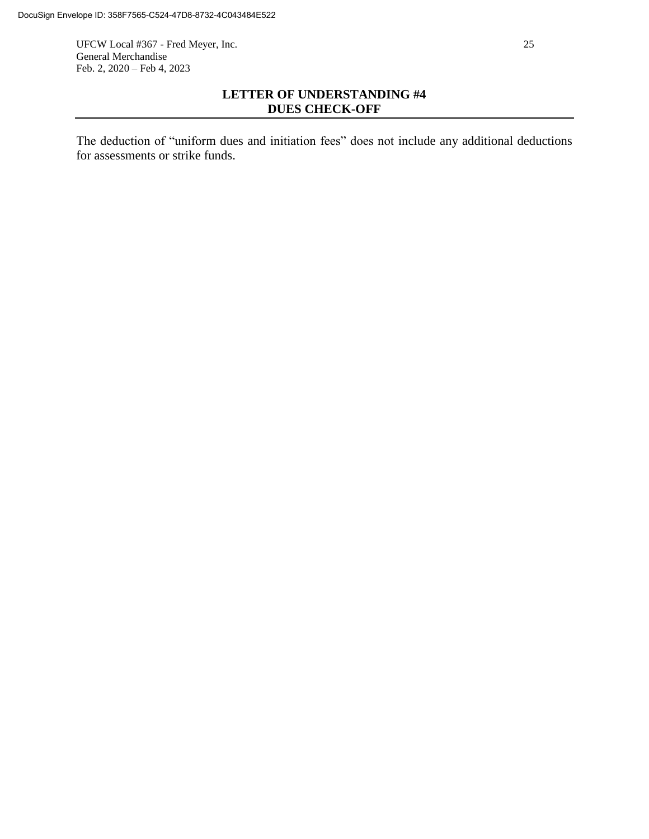UFCW Local #367 - Fred Meyer, Inc. 25 General Merchandise Feb. 2, 2020 – Feb 4, 2023

# **LETTER OF UNDERSTANDING #4 DUES CHECK-OFF**

The deduction of "uniform dues and initiation fees" does not include any additional deductions for assessments or strike funds.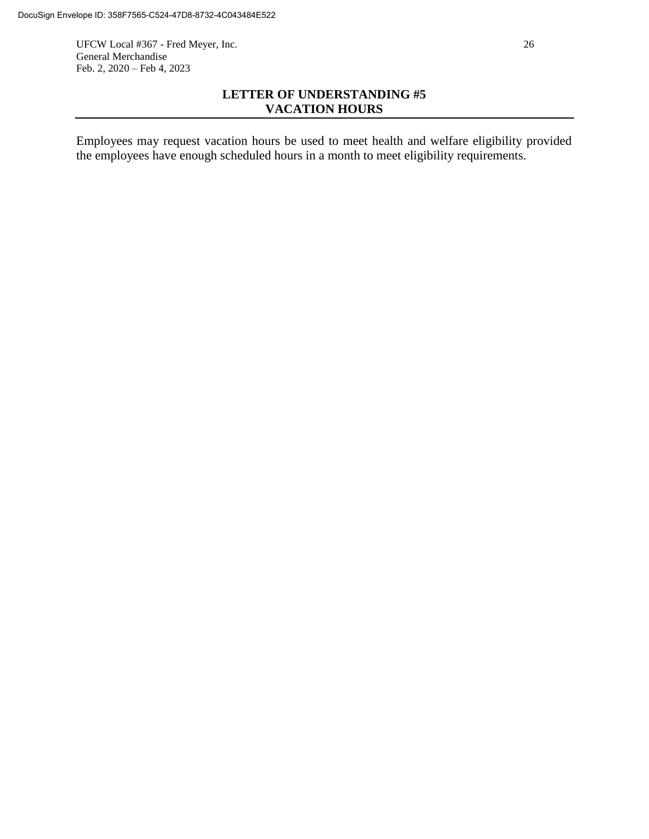UFCW Local #367 - Fred Meyer, Inc. 26 General Merchandise Feb. 2, 2020 – Feb 4, 2023

# **LETTER OF UNDERSTANDING #5 VACATION HOURS**

Employees may request vacation hours be used to meet health and welfare eligibility provided the employees have enough scheduled hours in a month to meet eligibility requirements.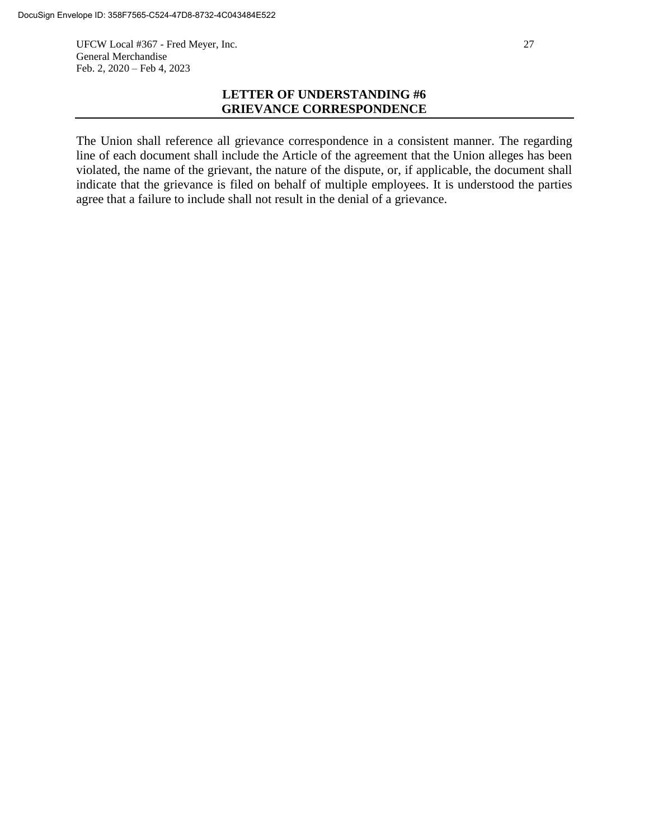UFCW Local #367 - Fred Meyer, Inc. 27 General Merchandise Feb. 2, 2020 – Feb 4, 2023

# **LETTER OF UNDERSTANDING #6 GRIEVANCE CORRESPONDENCE**

The Union shall reference all grievance correspondence in a consistent manner. The regarding line of each document shall include the Article of the agreement that the Union alleges has been violated, the name of the grievant, the nature of the dispute, or, if applicable, the document shall indicate that the grievance is filed on behalf of multiple employees. It is understood the parties agree that a failure to include shall not result in the denial of a grievance.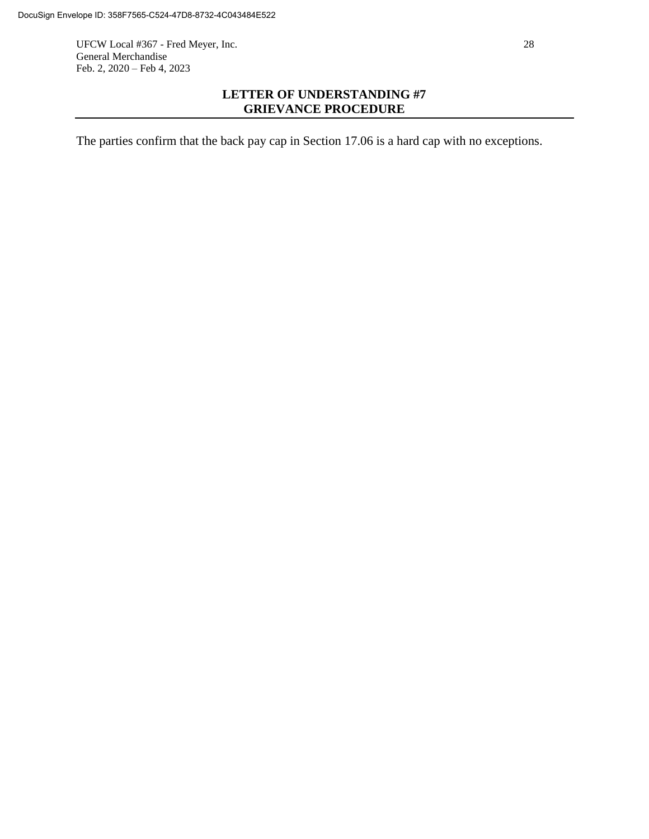UFCW Local #367 - Fred Meyer, Inc. 28 General Merchandise Feb. 2, 2020 – Feb 4, 2023

# **LETTER OF UNDERSTANDING #7 GRIEVANCE PROCEDURE**

The parties confirm that the back pay cap in Section 17.06 is a hard cap with no exceptions.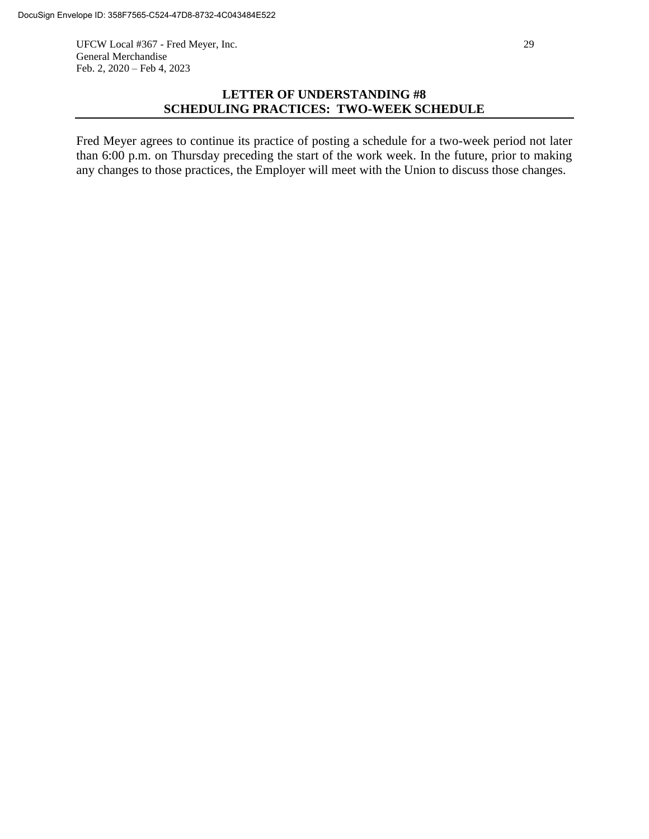UFCW Local #367 - Fred Meyer, Inc. 29 General Merchandise Feb. 2, 2020 – Feb 4, 2023

## **LETTER OF UNDERSTANDING #8 SCHEDULING PRACTICES: TWO-WEEK SCHEDULE**

Fred Meyer agrees to continue its practice of posting a schedule for a two-week period not later than 6:00 p.m. on Thursday preceding the start of the work week. In the future, prior to making any changes to those practices, the Employer will meet with the Union to discuss those changes.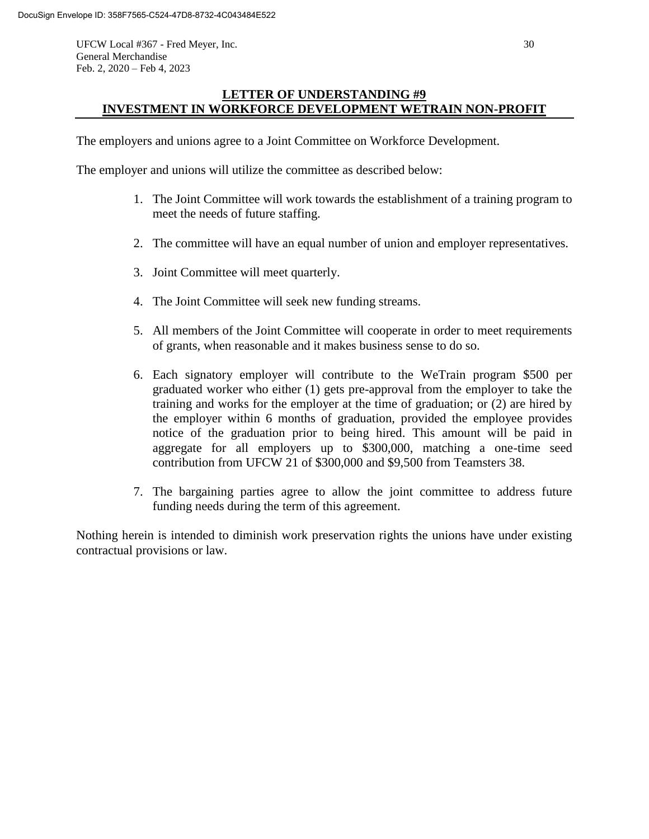UFCW Local #367 - Fred Meyer, Inc. 30 General Merchandise Feb. 2, 2020 – Feb 4, 2023

# **LETTER OF UNDERSTANDING #9 INVESTMENT IN WORKFORCE DEVELOPMENT WETRAIN NON-PROFIT**

The employers and unions agree to a Joint Committee on Workforce Development.

The employer and unions will utilize the committee as described below:

- 1. The Joint Committee will work towards the establishment of a training program to meet the needs of future staffing.
- 2. The committee will have an equal number of union and employer representatives.
- 3. Joint Committee will meet quarterly.
- 4. The Joint Committee will seek new funding streams.
- 5. All members of the Joint Committee will cooperate in order to meet requirements of grants, when reasonable and it makes business sense to do so.
- 6. Each signatory employer will contribute to the WeTrain program \$500 per graduated worker who either (1) gets pre-approval from the employer to take the training and works for the employer at the time of graduation; or (2) are hired by the employer within 6 months of graduation, provided the employee provides notice of the graduation prior to being hired. This amount will be paid in aggregate for all employers up to \$300,000, matching a one-time seed contribution from UFCW 21 of \$300,000 and \$9,500 from Teamsters 38.
- 7. The bargaining parties agree to allow the joint committee to address future funding needs during the term of this agreement.

Nothing herein is intended to diminish work preservation rights the unions have under existing contractual provisions or law.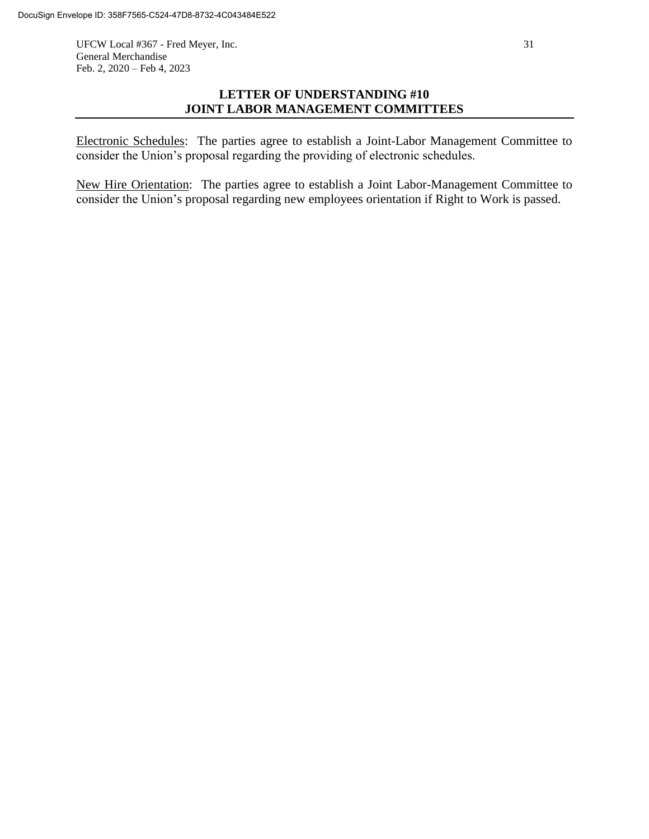UFCW Local #367 - Fred Meyer, Inc. 31 General Merchandise Feb. 2, 2020 – Feb 4, 2023

# **LETTER OF UNDERSTANDING #10 JOINT LABOR MANAGEMENT COMMITTEES**

Electronic Schedules: The parties agree to establish a Joint-Labor Management Committee to consider the Union's proposal regarding the providing of electronic schedules.

New Hire Orientation: The parties agree to establish a Joint Labor-Management Committee to consider the Union's proposal regarding new employees orientation if Right to Work is passed.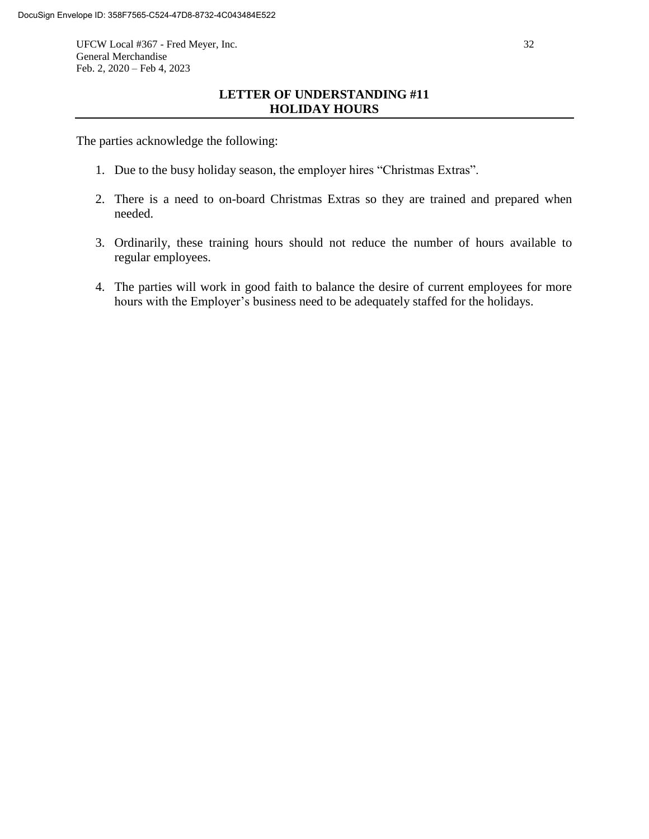UFCW Local #367 - Fred Meyer, Inc. 32 General Merchandise Feb. 2, 2020 – Feb 4, 2023

## **LETTER OF UNDERSTANDING #11 HOLIDAY HOURS**

The parties acknowledge the following:

- 1. Due to the busy holiday season, the employer hires "Christmas Extras".
- 2. There is a need to on-board Christmas Extras so they are trained and prepared when needed.
- 3. Ordinarily, these training hours should not reduce the number of hours available to regular employees.
- 4. The parties will work in good faith to balance the desire of current employees for more hours with the Employer's business need to be adequately staffed for the holidays.